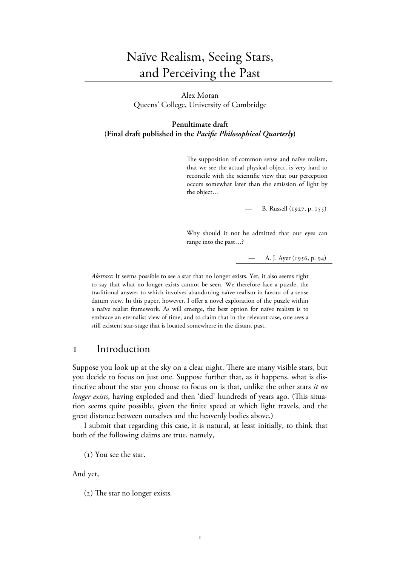# Naïve Realism, Seeing Stars, and Perceiving the Past

Alex Moran Queens' College, University of Cambridge

**Penultimate draft (Final draft published in the** *Pacific Philosophical Quarterly***)** 

> The supposition of common sense and naïve realism, that we see the actual physical object, is very hard to reconcile with the scientific view that our perception occurs somewhat later than the emission of light by the object…

> > B. Russell (1927, p. 155)

Why should it not be admitted that our eyes can range into the past…?

A. J. Ayer (1956, p. 94)

*Abstract*: It seems possible to see a star that no longer exists. Yet, it also seems right to say that what no longer exists cannot be seen. We therefore face a puzzle, the traditional answer to which involves abandoning naïve realism in favour of a sense datum view. In this paper, however, I offer a novel exploration of the puzzle within a naïve realist framework. As will emerge, the best option for naïve realists is to embrace an eternalist view of time, and to claim that in the relevant case, one sees a still existent star-stage that is located somewhere in the distant past.

## Introduction

Suppose you look up at the sky on a clear night. There are many visible stars, but you decide to focus on just one. Suppose further that, as it happens, what is distinctive about the star you choose to focus on is that, unlike the other stars *it no longer exists*, having exploded and then 'died' hundreds of years ago. (This situation seems quite possible, given the finite speed at which light travels, and the great distance between ourselves and the heavenly bodies above.)

 I submit that regarding this case, it is natural, at least initially, to think that both of the following claims are true, namely,

 $(i)$  You see the star.

And yet,

 $(z)$  The star no longer exists.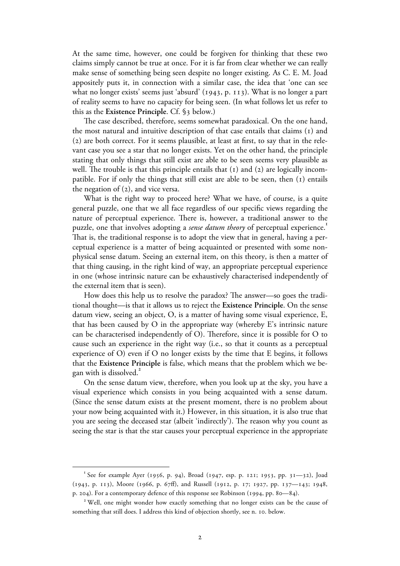At the same time, however, one could be forgiven for thinking that these two claims simply cannot be true at once. For it is far from clear whether we can really make sense of something being seen despite no longer existing. As C. E. M. Joad appositely puts it, in connection with a similar case, the idea that 'one can see what no longer exists' seems just 'absurd'  $(1943, p. 113)$ . What is no longer a part of reality seems to have no capacity for being seen. (In what follows let us refer to this as the **Existence Principle**. Cf. §3 below.)

The case described, therefore, seems somewhat paradoxical. On the one hand, the most natural and intuitive description of that case entails that claims  $(1)$  and (2) are both correct. For it seems plausible, at least at first, to say that in the relevant case you see a star that no longer exists. Yet on the other hand, the principle stating that only things that still exist are able to be seen seems very plausible as well. The trouble is that this principle entails that  $(1)$  and  $(2)$  are logically incompatible. For if only the things that still exist are able to be seen, then  $(1)$  entails the negation of  $(2)$ , and vice versa.

 What is the right way to proceed here? What we have, of course, is a quite general puzzle, one that we all face regardless of our specific views regarding the nature of perceptual experience. There is, however, a traditional answer to the puzzle, one that involves adopting a *sense datum theory* of perceptual experience.<sup>1</sup> That is, the traditional response is to adopt the view that in general, having a perceptual experience is a matter of being acquainted or presented with some nonphysical sense datum. Seeing an external item, on this theory, is then a matter of that thing causing, in the right kind of way, an appropriate perceptual experience in one (whose intrinsic nature can be exhaustively characterised independently of the external item that is seen).

How does this help us to resolve the paradox? The answer—so goes the traditional thought—is that it allows us to reject the **Existence Principle**. On the sense datum view, seeing an object, O, is a matter of having some visual experience, E, that has been caused by O in the appropriate way (whereby E's intrinsic nature can be characterised independently of  $O$ ). Therefore, since it is possible for  $O$  to cause such an experience in the right way (i.e., so that it counts as a perceptual experience of O) even if O no longer exists by the time that E begins, it follows that the **Existence Principle** is false, which means that the problem which we began with is dissolved.<sup>2</sup>

On the sense datum view, therefore, when you look up at the sky, you have a visual experience which consists in you being acquainted with a sense datum. (Since the sense datum exists at the present moment, there is no problem about your now being acquainted with it.) However, in this situation, it is also true that you are seeing the deceased star (albeit 'indirectly'). The reason why you count as seeing the star is that the star causes your perceptual experience in the appropriate

<sup>&</sup>lt;sup>1</sup> See for example Ayer (1956, p. 94), Broad (1947, esp. p. 121; 1953, pp. 31—32), Joad (1943, p. 113), Moore (1966, p. 67ff), and Russell (1912, p. 17; 1927, pp. 137—143; 1948, p. 204). For a contemporary defence of this response see Robinson (1994, pp. 80-84).

<sup>&</sup>lt;sup>2</sup> Well, one might wonder how exactly something that no longer exists can be the cause of something that still does. I address this kind of objection shortly, see n. 10. below.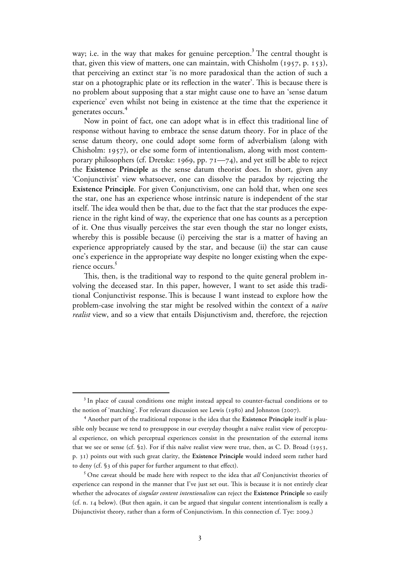way; i.e. in the way that makes for genuine perception.<sup>3</sup> The central thought is that, given this view of matters, one can maintain, with Chisholm  $(1957, p. 153)$ , that perceiving an extinct star 'is no more paradoxical than the action of such a star on a photographic plate or its reflection in the water'. Tis is because there is no problem about supposing that a star might cause one to have an 'sense datum experience' even whilst not being in existence at the time that the experience it generates occurs.<sup>4</sup>

 Now in point of fact, one can adopt what is in effect this traditional line of response without having to embrace the sense datum theory. For in place of the sense datum theory, one could adopt some form of adverbialism (along with Chisholm:  $1957$ ), or else some form of intentionalism, along with most contemporary philosophers (cf. Dretske: 1969, pp.  $71-74$ ), and yet still be able to reject the **Existence Principle** as the sense datum theorist does. In short, given any 'Conjunctivist' view whatsoever, one can dissolve the paradox by rejecting the **Existence Principle**. For given Conjunctivism, one can hold that, when one sees the star, one has an experience whose intrinsic nature is independent of the star itself. The idea would then be that, due to the fact that the star produces the experience in the right kind of way, the experience that one has counts as a perception of it. One thus visually perceives the star even though the star no longer exists, whereby this is possible because (i) perceiving the star is a matter of having an experience appropriately caused by the star, and because (ii) the star can cause one's experience in the appropriate way despite no longer existing when the experience occurs.<sup>5</sup>

This, then, is the traditional way to respond to the quite general problem involving the deceased star. In this paper, however, I want to set aside this traditional Conjunctivist response.Tis is because I want instead to explore how the problem-case involving the star might be resolved within the context of a *naïve realist* view, and so a view that entails Disjunctivism and, therefore, the rejection

<sup>&</sup>lt;sup>3</sup> In place of causal conditions one might instead appeal to counter-factual conditions or to the notion of 'matching'. For relevant discussion see Lewis (1980) and Johnston (2007).

<sup>4</sup> Another part of the traditional response is the idea that the **Existence Principle** itself is plausible only because we tend to presuppose in our everyday thought a naïve realist view of perceptual experience, on which perceptual experiences consist in the presentation of the external items that we see or sense (cf. §2). For if this naïve realist view were true, then, as C. D. Broad (1953, p. ) points out with such great clarity, the **Existence Principle** would indeed seem rather hard to deny (cf. §3 of this paper for further argument to that effect).

<sup>&</sup>lt;sup>5</sup> One caveat should be made here with respect to the idea that *all* Conjunctivist theories of experience can respond in the manner that I've just set out. This is because it is not entirely clear whether the advocates of *singular content intentionalism* can reject the **Existence Principle** so easily (cf. n. 14 below). (But then again, it can be argued that singular content intentionalism is really a Disjunctivist theory, rather than a form of Conjunctivism. In this connection cf. Tye: 2009.)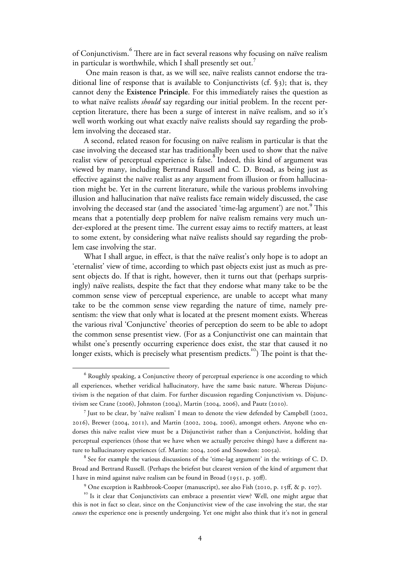of Conjunctivism.<sup>6</sup> There are in fact several reasons why focusing on naïve realism in particular is worthwhile, which I shall presently set out.<sup>7</sup>

 One main reason is that, as we will see, naïve realists cannot endorse the traditional line of response that is available to Conjunctivists (cf. §); that is, they cannot deny the **Existence Principle**. For this immediately raises the question as to what naïve realists *should* say regarding our initial problem. In the recent perception literature, there has been a surge of interest in naïve realism, and so it's well worth working out what exactly naïve realists should say regarding the problem involving the deceased star.

 A second, related reason for focusing on naïve realism in particular is that the case involving the deceased star has traditionally been used to show that the naïve realist view of perceptual experience is false.<sup>8</sup> Indeed, this kind of argument was viewed by many, including Bertrand Russell and C. D. Broad, as being just as effective against the naïve realist as any argument from illusion or from hallucination might be. Yet in the current literature, while the various problems involving illusion and hallucination that naïve realists face remain widely discussed, the case involving the deceased star (and the associated 'time-lag argument') are not.<sup>9</sup> This means that a potentially deep problem for naïve realism remains very much under-explored at the present time. The current essay aims to rectify matters, at least to some extent, by considering what naïve realists should say regarding the problem case involving the star.

 What I shall argue, in effect, is that the naïve realist's only hope is to adopt an 'eternalist' view of time, according to which past objects exist just as much as present objects do. If that is right, however, then it turns out that (perhaps surprisingly) naïve realists, despite the fact that they endorse what many take to be the common sense view of perceptual experience, are unable to accept what many take to be the common sense view regarding the nature of time, namely presentism: the view that only what is located at the present moment exists. Whereas the various rival 'Conjunctive' theories of perception do seem to be able to adopt the common sense presentist view. (For as a Conjunctivist one can maintain that whilst one's presently occurring experience does exist, the star that caused it no longer exists, which is precisely what presentism predicts.<sup>10</sup>) The point is that the-

 $^6$  Roughly speaking, a Conjunctive theory of perceptual experience is one according to which all experiences, whether veridical hallucinatory, have the same basic nature. Whereas Disjunctivism is the negation of that claim. For further discussion regarding Conjunctivism vs. Disjunctivism see Crane (2006), Johnston (2004), Martin (2004, 2006), and Pautz (2010).

 $^7$  Just to be clear, by 'naïve realism' I mean to denote the view defended by Campbell (2002, 2016), Brewer (2004, 2011), and Martin (2002, 2004, 2006), amongst others. Anyone who endorses this naïve realist view must be a Disjunctivist rather than a Conjunctivist, holding that perceptual experiences (those that we have when we actually perceive things) have a different nature to hallucinatory experiences (cf. Martin: 2004, 2006 and Snowdon: 2005a).

 $8$  See for example the various discussions of the 'time-lag argument' in the writings of C. D. Broad and Bertrand Russell. (Perhaps the briefest but clearest version of the kind of argument that I have in mind against naïve realism can be found in Broad (1951, p. 30ff).

<sup>&</sup>lt;sup>9</sup> One exception is Rashbrook-Cooper (manuscript), see also Fish (2010, p. 15ff, & p. 107).

<sup>&</sup>lt;sup>10</sup> Is it clear that Conjunctivists can embrace a presentist view? Well, one might argue that this is not in fact so clear, since on the Conjunctivist view of the case involving the star, the star *causes* the experience one is presently undergoing. Yet one might also think that it's not in general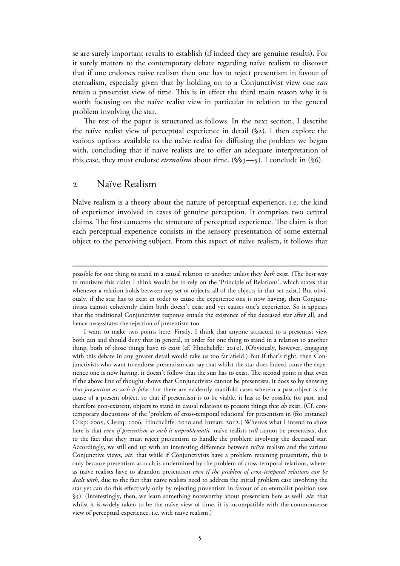se are surely important results to establish (if indeed they are genuine results). For it surely matters to the contemporary debate regarding naïve realism to discover that if one endorses naive realism then one has to reject presentism in favour of eternalism, especially given that by holding on to a Conjunctivist view one *can* retain a presentist view of time. This is in effect the third main reason why it is worth focusing on the naïve realist view in particular in relation to the general problem involving the star.

The rest of the paper is structured as follows. In the next section, I describe the naïve realist view of perceptual experience in detail  $(\S_2)$ . I then explore the various options available to the naïve realist for diffusing the problem we began with, concluding that if naïve realists are to offer an adequate interpretation of this case, they must endorse *eternalism* about time.  $(\S\$ 3\text{--}5). I conclude in ( $\S6$ ).

## Naïve Realism

 $\overline{a}$ 

Naïve realism is a theory about the nature of perceptual experience, i.e. the kind of experience involved in cases of genuine perception. It comprises two central claims. The first concerns the structure of perceptual experience. The claim is that each perceptual experience consists in the sensory presentation of some external object to the perceiving subject. From this aspect of naïve realism, it follows that

possible for one thing to stand in a causal relation to another unless they *both* exist. (The best way to motivate this claim I think would be to rely on the 'Principle of Relations', which states that whenever a relation holds between *any* set of objects, all of the objects in that set exist.) But obviously, if the star has to exist in order to cause the experience one is now having, then Conjunctivists cannot coherently claim both doesn't exist and yet causes one's experience. So it appears that the traditional Conjunctivist response entails the existence of the deceased star after all, and hence necessitates the rejection of presentism too.

I want to make two points here. Firstly, I think that anyone attracted to a presentist view both can and should deny that in general, in order for one thing to stand in a relation to another thing, both of those things have to exist (cf. Hinchcliffe: 2010). (Obviously, however, engaging with this debate in any greater detail would take us too far afield.) But if that's right, then Conjunctivists who want to endorse presentism can say that whilst the star does indeed cause the experience one is now having, it doesn't follow that the star has to exist. The second point is that even if the above line of thought shows that Conjunctivists cannot be presentists, it does so by showing *that presentism as such is false*. For there are evidently manifold cases wherein a past object is the cause of a present object, so that if presentism is to be viable, it has to be possible for past, and therefore non-existent, objects to stand in causal relations to present things that *do* exist. (Cf. contemporary discussions of the 'problem of cross-temporal relations' for presentism in (for instance) Crisp: 2005, Clercq: 2006, Hinchcliffe: 2010 and Inman: 2012.) Whereas what I intend to show here is that *even if presentism as such is unproblematic*, naïve realists *still* cannot be presentists, due to the fact that they must reject presentism to handle the problem involving the deceased star. Accordingly, we still end up with an interesting difference between naïve realism and the various Conjunctive views, *viz.* that while if Conjunctivists have a problem retaining presentism, this is only because presentism as such is undermined by the problem of cross-temporal relations, whereas naïve realists have to abandon presentism *even if the problem of cross-temporal relations can be dealt with*, due to the fact that naïve realists need to address the initial problem case involving the star yet can do this effectively only by rejecting presentism in favour of an eternalist position (see §). (Interestingly, then, we learn something noteworthy about presentism here as well: *viz.* that whilst it is widely taken to be the naïve view of time, it is incompatible with the commonsense view of perceptual experience, i.e. with naïve realism.)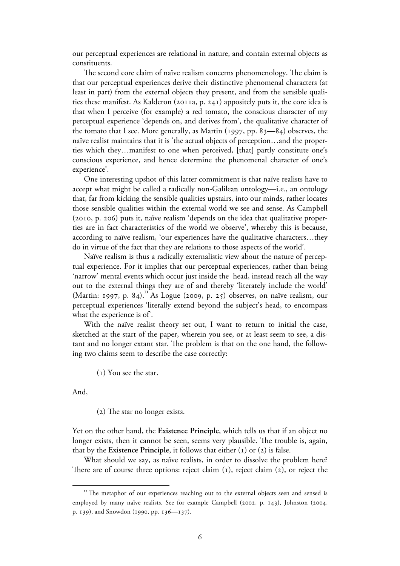our perceptual experiences are relational in nature, and contain external objects as constituents.

The second core claim of naïve realism concerns phenomenology. The claim is that our perceptual experiences derive their distinctive phenomenal characters (at least in part) from the external objects they present, and from the sensible qualities these manifest. As Kalderon (2011a, p. 241) appositely puts it, the core idea is that when I perceive (for example) a red tomato, the conscious character of my perceptual experience 'depends on, and derives from', the qualitative character of the tomato that I see. More generally, as Martin (1997, pp. 83-84) observes, the naïve realist maintains that it is 'the actual objects of perception…and the properties which they…manifest to one when perceived, [that] partly constitute one's conscious experience, and hence determine the phenomenal character of one's experience'.

 One interesting upshot of this latter commitment is that naïve realists have to accept what might be called a radically non-Galilean ontology—i.e., an ontology that, far from kicking the sensible qualities upstairs, into our minds, rather locates those sensible qualities within the external world we see and sense. As Campbell  $(2010, p. 206)$  puts it, naïve realism 'depends on the idea that qualitative properties are in fact characteristics of the world we observe', whereby this is because, according to naïve realism, 'our experiences have the qualitative characters…they do in virtue of the fact that they are relations to those aspects of the world'.

 Naïve realism is thus a radically externalistic view about the nature of perceptual experience. For it implies that our perceptual experiences, rather than being 'narrow' mental events which occur just inside the head, instead reach all the way out to the external things they are of and thereby 'literately include the world' (Martin: 1997, p. 84).<sup>11</sup> As Logue (2009, p. 25) observes, on naïve realism, our perceptual experiences 'literally extend beyond the subject's head, to encompass what the experience is of.

 With the naïve realist theory set out, I want to return to initial the case, sketched at the start of the paper, wherein you see, or at least seem to see, a distant and no longer extant star. The problem is that on the one hand, the following two claims seem to describe the case correctly:

 $(i)$  You see the star.

And,

 $\overline{a}$ 

 $(z)$  The star no longer exists.

Yet on the other hand, the **Existence Principle**, which tells us that if an object no longer exists, then it cannot be seen, seems very plausible. The trouble is, again, that by the **Existence Principle**, it follows that either  $(1)$  or  $(2)$  is false.

 What should we say, as naïve realists, in order to dissolve the problem here? There are of course three options: reject claim  $(1)$ , reject claim  $(2)$ , or reject the

<sup>&</sup>lt;sup>11</sup> The metaphor of our experiences reaching out to the external objects seen and sensed is employed by many naïve realists. See for example Campbell (2002, p. 143), Johnston (2004, p. 139), and Snowdon (1990, pp. 136-137).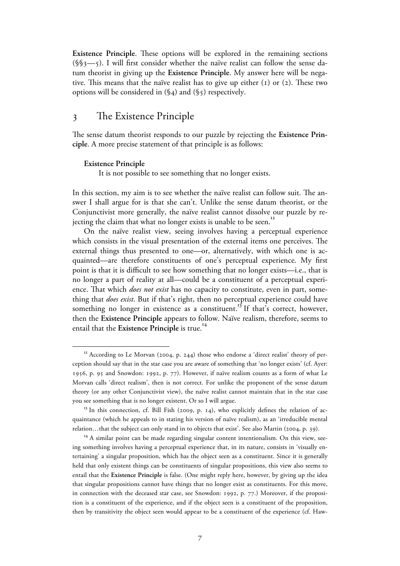**Existence Principle.** These options will be explored in the remaining sections  $(S_3 - 5)$ . I will first consider whether the naïve realist can follow the sense datum theorist in giving up the **Existence Principle**. My answer here will be negative. This means that the naïve realist has to give up either  $(1)$  or  $(2)$ . These two options will be considered in  $(\S_4)$  and  $(\S_5)$  respectively.

## 3 The Existence Principle

The sense datum theorist responds to our puzzle by rejecting the **Existence Principle**. A more precise statement of that principle is as follows:

#### **Existence Principle**

 $\overline{a}$ 

It is not possible to see something that no longer exists.

In this section, my aim is to see whether the naïve realist can follow suit. The answer I shall argue for is that she can't. Unlike the sense datum theorist, or the Conjunctivist more generally, the naïve realist cannot dissolve our puzzle by rejecting the claim that what no longer exists is unable to be seen.<sup>1</sup>

 On the naïve realist view, seeing involves having a perceptual experience which consists in the visual presentation of the external items one perceives. The external things thus presented to one—or, alternatively, with which one is acquainted—are therefore constituents of one's perceptual experience. My first point is that it is difficult to see how something that no longer exists—i.e., that is no longer a part of reality at all—could be a constituent of a perceptual experience. That which *does not exist* has no capacity to constitute, even in part, something that *does exist*. But if that's right, then no perceptual experience could have something no longer in existence as a constituent.<sup>13</sup> If that's correct, however, then the **Existence Principle** appears to follow. Naïve realism, therefore, seems to entail that the Existence Principle is true.<sup>14</sup>

<sup>&</sup>lt;sup>12</sup> According to Le Morvan (2004, p. 244) those who endorse a 'direct realist' theory of perception should say that in the star case you are aware of something that 'no longer exists' (cf. Ayer: 1956, p. 95 and Snowdon: 1992, p. 77). However, if naïve realism counts as a form of what Le Morvan calls 'direct realism', then is not correct. For unlike the proponent of the sense datum theory (or any other Conjunctivist view), the naïve realist cannot maintain that in the star case you see something that is no longer existent. Or so I will argue.

<sup>&</sup>lt;sup>13</sup> In this connection, cf. Bill Fish (2009, p. 14), who explicitly defines the relation of acquaintance (which he appeals to in stating his version of naïve realism), as an 'irreducible mental relation…that the subject can only stand in to objects that exist'. See also Martin (2004, p. 39).

 $<sup>14</sup>$  A similar point can be made regarding singular content intentionalism. On this view, see-</sup> ing something involves having a perceptual experience that, in its nature, consists in 'visually entertaining' a singular proposition, which has the object seen as a constituent. Since it is generally held that only existent things can be constituents of singular propositions, this view also seems to entail that the **Existence Principle** is false. (One might reply here, however, by giving up the idea that singular propositions cannot have things that no longer exist as constituents. For this move, in connection with the deceased star case, see Snowdon: 1992, p. 77.) Moreover, if the proposition is a constituent of the experience, and if the object seen is a constituent of the proposition, then by transitivity the object seen would appear to be a constituent of the experience (cf. Haw-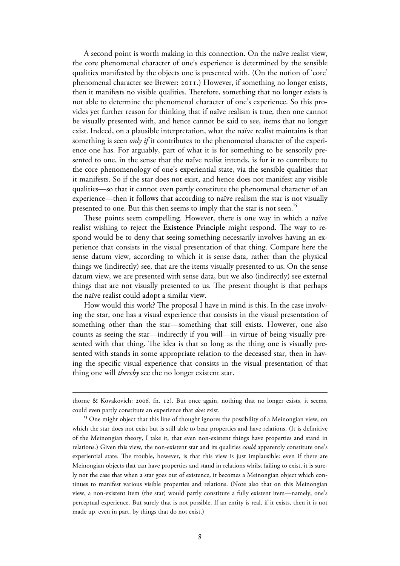A second point is worth making in this connection. On the naïve realist view, the core phenomenal character of one's experience is determined by the sensible qualities manifested by the objects one is presented with. (On the notion of 'core' phenomenal character see Brewer: 2011.) However, if something no longer exists, then it manifests no visible qualities. Therefore, something that no longer exists is not able to determine the phenomenal character of one's experience. So this provides yet further reason for thinking that if naïve realism is true, then one cannot be visually presented with, and hence cannot be said to see, items that no longer exist. Indeed, on a plausible interpretation, what the naïve realist maintains is that something is seen *only if* it contributes to the phenomenal character of the experience one has. For arguably, part of what it is for something to be sensorily presented to one, in the sense that the naïve realist intends, is for it to contribute to the core phenomenology of one's experiential state, via the sensible qualities that it manifests. So if the star does not exist, and hence does not manifest any visible qualities—so that it cannot even partly constitute the phenomenal character of an experience—then it follows that according to naïve realism the star is not visually presented to one. But this then seems to imply that the star is not seen.<sup>15</sup>

These points seem compelling. However, there is one way in which a naïve realist wishing to reject the **Existence Principle** might respond. The way to respond would be to deny that seeing something necessarily involves having an experience that consists in the visual presentation of that thing. Compare here the sense datum view, according to which it is sense data, rather than the physical things we (indirectly) see, that are the items visually presented to us. On the sense datum view, we are presented with sense data, but we also (indirectly) see external things that are not visually presented to us. The present thought is that perhaps the naïve realist could adopt a similar view.

How would this work? The proposal I have in mind is this. In the case involving the star, one has a visual experience that consists in the visual presentation of something other than the star—something that still exists. However, one also counts as seeing the star—indirectly if you will—in virtue of being visually presented with that thing. The idea is that so long as the thing one is visually presented with stands in some appropriate relation to the deceased star, then in having the specific visual experience that consists in the visual presentation of that thing one will *thereby* see the no longer existent star.

thorne & Kovakovich: 2006, fn. 12). But once again, nothing that no longer exists, it seems, could even partly constitute an experience that *does* exist.

<sup>&</sup>lt;sup>15</sup> One might object that this line of thought ignores the possibility of a Meinongian view, on which the star does not exist but is still able to bear properties and have relations. (It is definitive of the Meinongian theory, I take it, that even non-existent things have properties and stand in relations.) Given this view, the non-existent star and its qualities *could* apparently constitute one's experiential state. The trouble, however, is that this view is just implausible: even if there are Meinongian objects that can have properties and stand in relations whilst failing to exist, it is surely not the case that when a star goes out of existence, it becomes a Meinongian object which continues to manifest various visible properties and relations. (Note also that on this Meinongian view, a non-existent item (the star) would partly constitute a fully existent item—namely, one's perceptual experience. But surely that is not possible. If an entity is real, if it exists, then it is not made up, even in part, by things that do not exist.)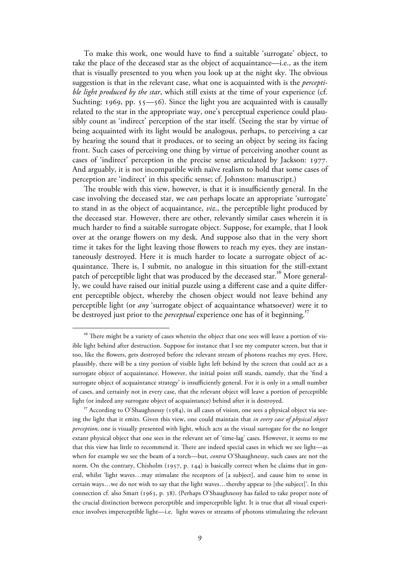To make this work, one would have to find a suitable 'surrogate' object, to take the place of the deceased star as the object of acquaintance—i.e., as the item that is visually presented to you when you look up at the night sky. The obvious suggestion is that in the relevant case, what one is acquainted with is the *perceptible light produced by the star*, which still exists at the time of your experience (cf. Suchting: 1969, pp.  $55$ — $56$ ). Since the light you are acquainted with is causally related to the star in the appropriate way, one's perceptual experience could plausibly count as 'indirect' perception of the star itself. (Seeing the star by virtue of being acquainted with its light would be analogous, perhaps, to perceiving a car by hearing the sound that it produces, or to seeing an object by seeing its facing front. Such cases of perceiving one thing by virtue of perceiving another count as cases of 'indirect' perception in the precise sense articulated by Jackson: 1977. And arguably, it is not incompatible with naïve realism to hold that some cases of perception are 'indirect' in this specific sense; cf. Johnston: manuscript.)

The trouble with this view, however, is that it is insufficiently general. In the case involving the deceased star, we *can* perhaps locate an appropriate 'surrogate' to stand in as the object of acquaintance, *viz*., the perceptible light produced by the deceased star. However, there are other, relevantly similar cases wherein it is much harder to find a suitable surrogate object. Suppose, for example, that I look over at the orange flowers on my desk. And suppose also that in the very short time it takes for the light leaving those flowers to reach my eyes, they are instantaneously destroyed. Here it is much harder to locate a surrogate object of acquaintance. There is, I submit, no analogue in this situation for the still-extant patch of perceptible light that was produced by the deceased star.<sup>16</sup> More generally, we could have raised our initial puzzle using a different case and a quite different perceptible object, whereby the chosen object would not leave behind any perceptible light (or *any* 'surrogate object of acquaintance whatsoever) were it to be destroyed just prior to the *perceptual* experience one has of it beginning.<sup>17</sup>

 $16$  There might be a variety of cases wherein the object that one sees will leave a portion of visible light behind after destruction. Suppose for instance that I see my computer screen, but that it too, like the flowers, gets destroyed before the relevant stream of photons reaches my eyes. Here, plausibly, there will be a tiny portion of visible light left behind by the screen that could act as a surrogate object of acquaintance. However, the initial point still stands, namely, that the 'find a surrogate object of acquaintance strategy' is insufficiently general. For it is only in a small number of cases, and certainly not in every case, that the relevant object will leave a portion of perceptible light (or indeed any surrogate object of acquaintance) behind after it is destroyed.

<sup>&</sup>lt;sup>17</sup> According to O'Shaughnessy (1984), in all cases of vision, one sees a physical object via seeing the light that it emits. Given this view, one could maintain that *in every case of physical object perception,* one is visually presented with light, which acts as the visual surrogate for the no longer extant physical object that one sees in the relevant set of 'time-lag' cases. However, it seems to me that this view has little to recommend it. There are indeed special cases in which we see light—as when for example we see the beam of a torch—but, *contra* O'Shaughnessy, such cases are not the norm. On the contrary, Chisholm ( $1957$ , p.  $144$ ) is basically correct when he claims that in general, whilst 'light waves…may stimulate the receptors of [a subject], and cause him to sense in certain ways…we do not wish to say that the light waves…thereby appear to [the subject]'. In this connection cf. also Smart (1963, p. 38). (Perhaps O'Shaughnessy has failed to take proper note of the crucial distinction between perceptible and imperceptible light. It is true that all visual experience involves imperceptible light—i.e. light waves or streams of photons stimulating the relevant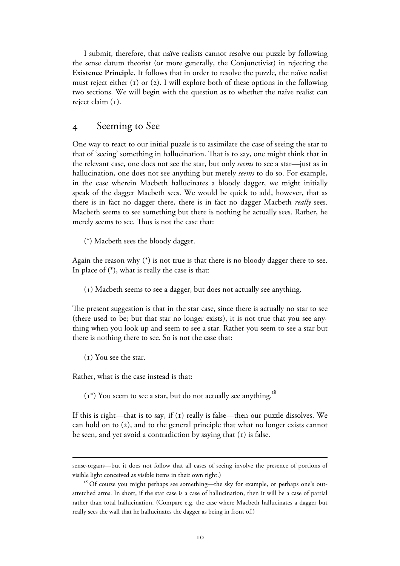I submit, therefore, that naïve realists cannot resolve our puzzle by following the sense datum theorist (or more generally, the Conjunctivist) in rejecting the **Existence Principle**. It follows that in order to resolve the puzzle, the naïve realist must reject either  $(i)$  or  $(2)$ . I will explore both of these options in the following two sections. We will begin with the question as to whether the naïve realist can reject claim  $(I)$ .

## Seeming to See

One way to react to our initial puzzle is to assimilate the case of seeing the star to that of 'seeing' something in hallucination. That is to say, one might think that in the relevant case, one does not see the star, but only *seems* to see a star—just as in hallucination, one does not see anything but merely *seems* to do so. For example, in the case wherein Macbeth hallucinates a bloody dagger, we might initially speak of the dagger Macbeth sees. We would be quick to add, however, that as there is in fact no dagger there, there is in fact no dagger Macbeth *really* sees. Macbeth seems to see something but there is nothing he actually sees. Rather, he merely seems to see. Thus is not the case that:

(\*) Macbeth sees the bloody dagger.

Again the reason why (\*) is not true is that there is no bloody dagger there to see. In place of  $(*)$ , what is really the case is that:

(+) Macbeth seems to see a dagger, but does not actually see anything.

The present suggestion is that in the star case, since there is actually no star to see (there used to be; but that star no longer exists), it is not true that you see anything when you look up and seem to see a star. Rather you seem to see a star but there is nothing there to see. So is not the case that:

 $(i)$  You see the star.

 $\overline{a}$ 

Rather, what is the case instead is that:

 $(i^*)$  You seem to see a star, but do not actually see anything.<sup>18</sup>

If this is right—that is to say, if  $(1)$  really is false—then our puzzle dissolves. We can hold on to  $(z)$ , and to the general principle that what no longer exists cannot be seen, and yet avoid a contradiction by saying that  $(1)$  is false.

sense-organs—but it does not follow that all cases of seeing involve the presence of portions of visible light conceived as visible items in their own right.)

 $18$  Of course you might perhaps see something—the sky for example, or perhaps one's outstretched arms. In short, if the star case is a case of hallucination, then it will be a case of partial rather than total hallucination. (Compare e.g. the case where Macbeth hallucinates a dagger but really sees the wall that he hallucinates the dagger as being in front of.)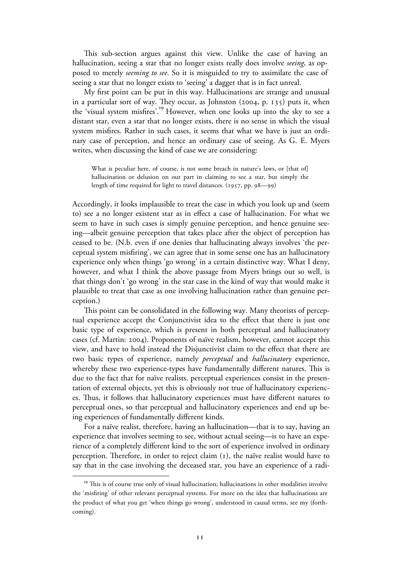This sub-section argues against this view. Unlike the case of having an hallucination, seeing a star that no longer exists really does involve *seeing*, as opposed to merely *seeming to see*. So it is misguided to try to assimilate the case of seeing a star that no longer exists to 'seeing' a dagger that is in fact unreal.

 My first point can be put in this way. Hallucinations are strange and unusual in a particular sort of way. They occur, as Johnston (2004, p.  $135$ ) puts it, when the 'visual system misfires'.<sup>19</sup> However, when one looks up into the sky to see a distant star, even a star that no longer exists, there is no sense in which the visual system misfires. Rather in such cases, it seems that what we have is just an ordinary case of perception, and hence an ordinary case of seeing. As G. E. Myers writes, when discussing the kind of case we are considering:

What is peculiar here, of course, is not some breach in nature's laws, or [that of] hallucination or delusion on our part in claiming to see a star, but simply the length of time required for light to travel distances.  $(1957, pp. 98—99)$ 

Accordingly, it looks implausible to treat the case in which you look up and (seem to) see a no longer existent star as in effect a case of hallucination. For what we seem to have in such cases is simply genuine perception, and hence genuine seeing—albeit genuine perception that takes place after the object of perception has ceased to be. (N.b. even if one denies that hallucinating always involves 'the perceptual system misfiring', we can agree that in some sense one has an hallucinatory experience only when things 'go wrong' in a certain distinctive way. What I deny, however, and what I think the above passage from Myers brings out so well, is that things don't 'go wrong' in the star case in the kind of way that would make it plausible to treat that case as one involving hallucination rather than genuine perception.)

Tis point can be consolidated in the following way. Many theorists of perceptual experience accept the Conjunctivist idea to the effect that there is just one basic type of experience, which is present in both perceptual and hallucinatory cases (cf. Martin: 2004). Proponents of naïve realism, however, cannot accept this view, and have to hold instead the Disjunctivist claim to the effect that there are two basic types of experience, namely *perceptual* and *hallucinatory* experience, whereby these two experience-types have fundamentally different natures. This is due to the fact that for naïve realists, perceptual experiences consist in the presentation of external objects, yet this is obviously not true of hallucinatory experiences. Tus, it follows that hallucinatory experiences must have different natures to perceptual ones, so that perceptual and hallucinatory experiences and end up being experiences of fundamentally different kinds.

 For a naïve realist, therefore, having an hallucination—that is to say, having an experience that involves seeming to see, without actual seeing—is to have an experience of a completely different kind to the sort of experience involved in ordinary perception. Therefore, in order to reject claim  $(1)$ , the naïve realist would have to say that in the case involving the deceased star, you have an experience of a radi-

 $19$  This is of course true only of visual hallucination; hallucinations in other modalities involve the 'misfiring' of other relevant perceptual systems. For more on the idea that hallucinations are the product of what you get 'when things go wrong', understood in causal terms, see my (forthcoming).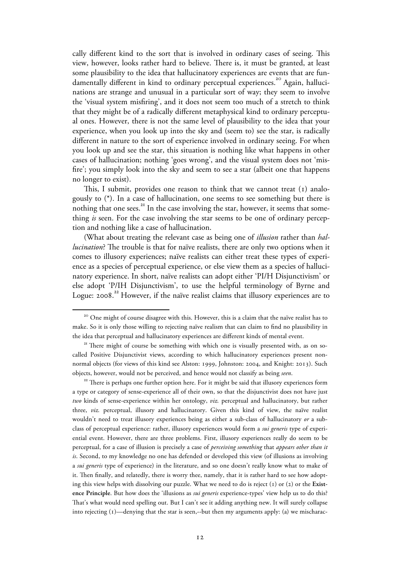cally different kind to the sort that is involved in ordinary cases of seeing. Tis view, however, looks rather hard to believe. There is, it must be granted, at least some plausibility to the idea that hallucinatory experiences are events that are fundamentally different in kind to ordinary perceptual experiences.<sup>20</sup> Again, hallucinations are strange and unusual in a particular sort of way; they seem to involve the 'visual system misfiring', and it does not seem too much of a stretch to think that they might be of a radically different metaphysical kind to ordinary perceptual ones. However, there is not the same level of plausibility to the idea that your experience, when you look up into the sky and (seem to) see the star, is radically different in nature to the sort of experience involved in ordinary seeing. For when you look up and see the star, this situation is nothing like what happens in other cases of hallucination; nothing 'goes wrong', and the visual system does not 'misfire'; you simply look into the sky and seem to see a star (albeit one that happens no longer to exist).

This, I submit, provides one reason to think that we cannot treat  $(1)$  analogously to (\*). In a case of hallucination, one seems to see something but there is nothing that one sees. $^{21}$  In the case involving the star, however, it seems that something *is* seen. For the case involving the star seems to be one of ordinary perception and nothing like a case of hallucination.

 (What about treating the relevant case as being one of *illusion* rather than *hallucination*? The trouble is that for naïve realists, there are only two options when it comes to illusory experiences; naïve realists can either treat these types of experience as a species of perceptual experience, or else view them as a species of hallucinatory experience. In short, naïve realists can adopt either 'PI/H Disjunctivism' or else adopt 'P/IH Disjunctivism', to use the helpful terminology of Byrne and Logue: 2008.<sup>22</sup> However, if the naïve realist claims that illusory experiences are to

 $\overline{a}$ 

 $22$  There is perhaps one further option here. For it might be said that illusory experiences form a type or category of sense-experience all of their own, so that the disjunctivist does not have just *two* kinds of sense-experience within her ontology, *viz.* perceptual and hallucinatory, but rather three, *viz.* perceptual, illusory and hallucinatory. Given this kind of view, the naïve realist wouldn't need to treat illusory experiences being as either a sub-class of hallucinatory *or* a subclass of perceptual experience: rather, illusory experiences would form a *sui generis* type of experiential event. However, there are three problems. First, illusory experiences really do seem to be perceptual, for a case of illusion is precisely a case of *perceiving something* that *appears other than it is*. Second, to my knowledge no one has defended or developed this view (of illusions as involving a *sui generis* type of experience) in the literature, and so one doesn't really know what to make of it. Then finally, and relatedly, there is worry thee, namely, that it is rather hard to see how adopting this view helps with dissolving our puzzle. What we need to do is reject (1) or (2) or the Exist**ence Principle**. But how does the 'illusions as *sui generis* experience-types' view help us to do this? Tat's what would need spelling out. But I can't see it adding anything new. It will surely collapse into rejecting  $(1)$ —denying that the star is seen,--but then my arguments apply: (a) we mischarac-

<sup>&</sup>lt;sup>20</sup> One might of course disagree with this. However, this is a claim that the naïve realist has to make. So it is only those willing to rejecting naïve realism that can claim to find no plausibility in the idea that perceptual and hallucinatory experiences are different kinds of mental event.

<sup>&</sup>lt;sup>21</sup> There might of course be something with which one is visually presented with, as on socalled Positive Disjunctivist views, according to which hallucinatory experiences present nonnormal objects (for views of this kind see Alston: 1999, Johnston: 2004, and Knight: 2013). Such objects, however, would not be perceived, and hence would not classify as being *seen*.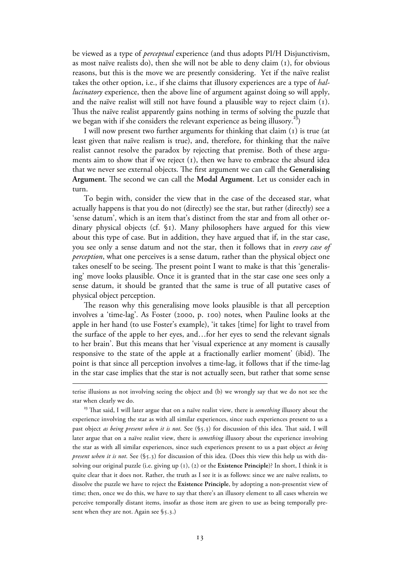be viewed as a type of *perceptual* experience (and thus adopts PI/H Disjunctivism, as most naïve realists do), then she will not be able to deny claim  $(1)$ , for obvious reasons, but this is the move we are presently considering. Yet if the naïve realist takes the other option, i.e., if she claims that illusory experiences are a type of *hallucinatory* experience, then the above line of argument against doing so will apply, and the naïve realist will still not have found a plausible way to reject claim  $(1)$ . Thus the naïve realist apparently gains nothing in terms of solving the puzzle that we began with if she considers the relevant experience as being illusory.<sup>23</sup>)

I will now present two further arguments for thinking that claim  $(1)$  is true (at least given that naïve realism is true), and, therefore, for thinking that the naïve realist cannot resolve the paradox by rejecting that premise. Both of these arguments aim to show that if we reject  $(I)$ , then we have to embrace the absurd idea that we never see external objects. The first argument we can call the Generalising Argument. The second we can call the Modal Argument. Let us consider each in turn.

 To begin with, consider the view that in the case of the deceased star, what actually happens is that you do not (directly) see the star, but rather (directly) see a 'sense datum', which is an item that's distinct from the star and from all other ordinary physical objects (cf.  $\S$ I). Many philosophers have argued for this view about this type of case. But in addition, they have argued that if, in the star case, you see only a sense datum and not the star, then it follows that in *every case of perception*, what one perceives is a sense datum, rather than the physical object one takes oneself to be seeing. The present point I want to make is that this 'generalising' move looks plausible. Once it is granted that in the star case one sees only a sense datum, it should be granted that the same is true of all putative cases of physical object perception.

The reason why this generalising move looks plausible is that all perception involves a 'time-lag'. As Foster (2000, p. 100) notes, when Pauline looks at the apple in her hand (to use Foster's example), 'it takes [time] for light to travel from the surface of the apple to her eyes, and…for her eyes to send the relevant signals to her brain'. But this means that her 'visual experience at any moment is causally responsive to the state of the apple at a fractionally earlier moment' (ibid). The point is that since all perception involves a time-lag, it follows that if the time-lag in the star case implies that the star is not actually seen, but rather that some sense

terise illusions as not involving seeing the object and (b) we wrongly say that we do not see the star when clearly we do.

<sup>&</sup>lt;sup>23</sup> That said, I will later argue that on a naïve realist view, there is *something* illusory about the experience involving the star as with all similar experiences, since such experiences present to us a past object *as being present when it is not*. See (§5.3) for discussion of this idea. That said, I will later argue that on a naïve realist view, there is *something* illusory about the experience involving the star as with all similar experiences, since such experiences present to us a past object *as being present when it is not*. See (§5.3) for discussion of this idea. (Does this view this help us with dissolving our original puzzle (i.e. giving up (1), (2) or the **Existence Principle**)? In short, I think it is quite clear that it does not. Rather, the truth as I see it is as follows: since we are naïve realists, to dissolve the puzzle we have to reject the **Existence Principle**, by adopting a non-presentist view of time; then, once we do this, we have to say that there's an illusory element to all cases wherein we perceive temporally distant items, insofar as those item are given to use as being temporally present when they are not. Again see  $\S$ 5.3.)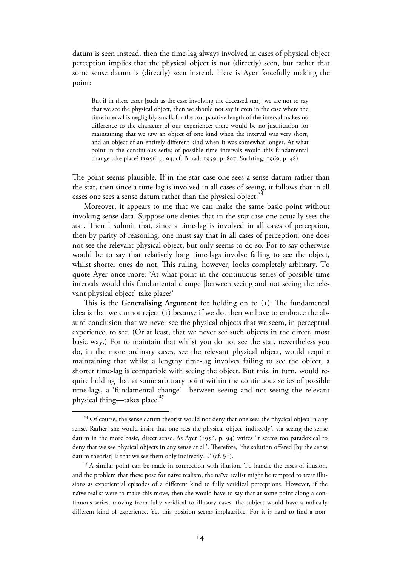datum is seen instead, then the time-lag always involved in cases of physical object perception implies that the physical object is not (directly) seen, but rather that some sense datum is (directly) seen instead. Here is Ayer forcefully making the point:

But if in these cases [such as the case involving the deceased star], we are not to say that we see the physical object, then we should not say it even in the case where the time interval is negligibly small; for the comparative length of the interval makes no difference to the character of our experience: there would be no justification for maintaining that we saw an object of one kind when the interval was very short, and an object of an entirely different kind when it was somewhat longer. At what point in the continuous series of possible time intervals would this fundamental change take place? (1956, p. 94, cf. Broad: 1959, p. 807; Suchting: 1969, p. 48)

The point seems plausible. If in the star case one sees a sense datum rather than the star, then since a time-lag is involved in all cases of seeing, it follows that in all cases one sees a sense datum rather than the physical object.<sup>24</sup>

 Moreover, it appears to me that we can make the same basic point without invoking sense data. Suppose one denies that in the star case one actually sees the star. Then I submit that, since a time-lag is involved in all cases of perception, then by parity of reasoning, one must say that in all cases of perception, one does not see the relevant physical object, but only seems to do so. For to say otherwise would be to say that relatively long time-lags involve failing to see the object, whilst shorter ones do not. This ruling, however, looks completely arbitrary. To quote Ayer once more: 'At what point in the continuous series of possible time intervals would this fundamental change [between seeing and not seeing the relevant physical object] take place?'

This is the **Generalising Argument** for holding on to  $(I)$ . The fundamental idea is that we cannot reject  $(i)$  because if we do, then we have to embrace the absurd conclusion that we never see the physical objects that we seem, in perceptual experience, to see. (Or at least, that we never see such objects in the direct, most basic way.) For to maintain that whilst you do not see the star, nevertheless you do, in the more ordinary cases, see the relevant physical object, would require maintaining that whilst a lengthy time-lag involves failing to see the object, a shorter time-lag is compatible with seeing the object. But this, in turn, would require holding that at some arbitrary point within the continuous series of possible time-lags, a 'fundamental change'—between seeing and not seeing the relevant physical thing—takes place. $^{25}$ 

<sup>&</sup>lt;sup>24</sup> Of course, the sense datum theorist would not deny that one sees the physical object in any sense. Rather, she would insist that one sees the physical object 'indirectly', via seeing the sense datum in the more basic, direct sense. As Ayer ( $1956$ , p. 94) writes 'it seems too paradoxical to deny that we see physical objects in any sense at all'. Therefore, 'the solution offered [by the sense datum theorist] is that we see them only indirectly...' (cf. §1).

 $25$  A similar point can be made in connection with illusion. To handle the cases of illusion, and the problem that these pose for naïve realism, the naïve realist might be tempted to treat illusions as experiential episodes of a different kind to fully veridical perceptions. However, if the naïve realist were to make this move, then she would have to say that at some point along a continuous series, moving from fully veridical to illusory cases, the subject would have a radically different kind of experience. Yet this position seems implausible. For it is hard to find a non-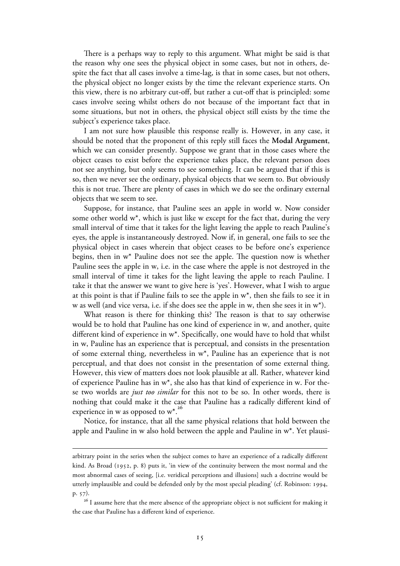There is a perhaps way to reply to this argument. What might be said is that the reason why one sees the physical object in some cases, but not in others, despite the fact that all cases involve a time-lag, is that in some cases, but not others, the physical object no longer exists by the time the relevant experience starts. On this view, there is no arbitrary cut-off, but rather a cut-off that is principled: some cases involve seeing whilst others do not because of the important fact that in some situations, but not in others, the physical object still exists by the time the subject's experience takes place.

 I am not sure how plausible this response really is. However, in any case, it should be noted that the proponent of this reply still faces the **Modal Argument**, which we can consider presently. Suppose we grant that in those cases where the object ceases to exist before the experience takes place, the relevant person does not see anything, but only seems to see something. It can be argued that if this is so, then we never see the ordinary, physical objects that we seem to. But obviously this is not true. There are plenty of cases in which we do see the ordinary external objects that we seem to see.

 Suppose, for instance, that Pauline sees an apple in world w. Now consider some other world w\*, which is just like w except for the fact that, during the very small interval of time that it takes for the light leaving the apple to reach Pauline's eyes, the apple is instantaneously destroyed. Now if, in general, one fails to see the physical object in cases wherein that object ceases to be before one's experience begins, then in  $w^*$  Pauline does not see the apple. The question now is whether Pauline sees the apple in w, i.e. in the case where the apple is not destroyed in the small interval of time it takes for the light leaving the apple to reach Pauline. I take it that the answer we want to give here is 'yes'. However, what I wish to argue at this point is that if Pauline fails to see the apple in w\*, then she fails to see it in w as well (and vice versa, i.e. if she does see the apple in w, then she sees it in  $w^*$ ).

What reason is there for thinking this? The reason is that to say otherwise would be to hold that Pauline has one kind of experience in w, and another, quite different kind of experience in w\*. Specifically, one would have to hold that whilst in w, Pauline has an experience that is perceptual, and consists in the presentation of some external thing, nevertheless in w\*, Pauline has an experience that is not perceptual, and that does not consist in the presentation of some external thing. However, this view of matters does not look plausible at all. Rather, whatever kind of experience Pauline has in w\*, she also has that kind of experience in w. For these two worlds are *just too similar* for this not to be so. In other words, there is nothing that could make it the case that Pauline has a radically different kind of experience in w as opposed to w\*.<sup>26</sup>

 Notice, for instance, that all the same physical relations that hold between the apple and Pauline in w also hold between the apple and Pauline in w\*. Yet plausi-

arbitrary point in the series when the subject comes to have an experience of a radically different kind. As Broad ( $1952$ , p. 8) puts it, 'in view of the continuity between the most normal and the most abnormal cases of seeing, [i.e. veridical perceptions and illusions] such a doctrine would be utterly implausible and could be defended only by the most special pleading' (cf. Robinson: 1994, p. 57).

<sup>&</sup>lt;sup>26</sup> I assume here that the mere absence of the appropriate object is not sufficient for making it the case that Pauline has a different kind of experience.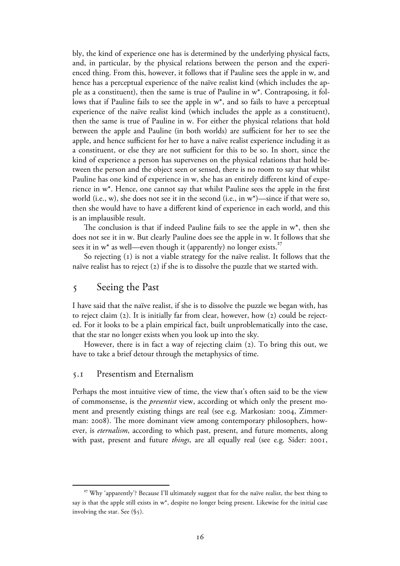bly, the kind of experience one has is determined by the underlying physical facts, and, in particular, by the physical relations between the person and the experienced thing. From this, however, it follows that if Pauline sees the apple in w, and hence has a perceptual experience of the naïve realist kind (which includes the apple as a constituent), then the same is true of Pauline in w\*. Contraposing, it follows that if Pauline fails to see the apple in w\*, and so fails to have a perceptual experience of the naïve realist kind (which includes the apple as a constituent), then the same is true of Pauline in w. For either the physical relations that hold between the apple and Pauline (in both worlds) are sufficient for her to see the apple, and hence sufficient for her to have a naïve realist experience including it as a constituent, or else they are not sufficient for this to be so. In short, since the kind of experience a person has supervenes on the physical relations that hold between the person and the object seen or sensed, there is no room to say that whilst Pauline has one kind of experience in w, she has an entirely different kind of experience in w\*. Hence, one cannot say that whilst Pauline sees the apple in the first world (i.e., w), she does not see it in the second (i.e., in  $w^*$ )—since if that were so, then she would have to have a different kind of experience in each world, and this is an implausible result.

The conclusion is that if indeed Pauline fails to see the apple in  $w^*$ , then she does not see it in w. But clearly Pauline does see the apple in w. It follows that she sees it in  $w^*$  as well—even though it (apparently) no longer exists.<sup>27</sup>

So rejecting  $(i)$  is not a viable strategy for the naïve realist. It follows that the naïve realist has to reject  $(2)$  if she is to dissolve the puzzle that we started with.

## 5 Seeing the Past

I have said that the naïve realist, if she is to dissolve the puzzle we began with, has to reject claim (2). It is initially far from clear, however, how (2) could be rejected. For it looks to be a plain empirical fact, built unproblematically into the case, that the star no longer exists when you look up into the sky.

However, there is in fact a way of rejecting claim  $(2)$ . To bring this out, we have to take a brief detour through the metaphysics of time.

#### . Presentism and Eternalism

 $\overline{a}$ 

Perhaps the most intuitive view of time, the view that's often said to be the view of commonsense, is the *presentist* view, according ot which only the present moment and presently existing things are real (see e.g. Markosian: 2004, Zimmerman: 2008). The more dominant view among contemporary philosophers, however, is *eternalism*, according to which past, present, and future moments, along with past, present and future *things*, are all equally real (see e.g. Sider: 2001,

<sup>&</sup>lt;sup>27</sup> Why 'apparently'? Because I'll ultimately suggest that for the naïve realist, the best thing to say is that the apple still exists in w\*, despite no longer being present. Likewise for the initial case involving the star. See (§5).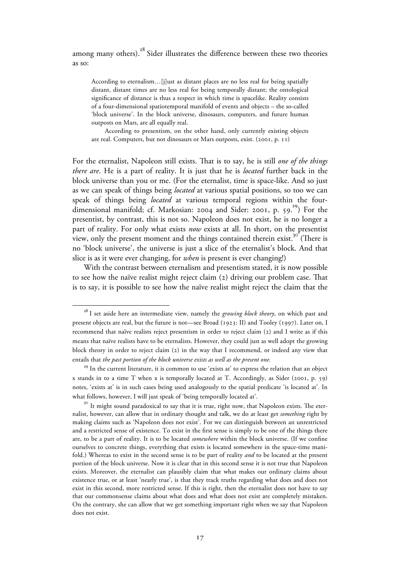among many others). $^{28}$  Sider illustrates the difference between these two theories as so:

According to eternalism…[j]ust as distant places are no less real for being spatially distant, distant times are no less real for being temporally distant; the ontological significance of distance is thus a respect in which time is spacelike. Reality consists of a four-dimensional spatiotemporal manifold of events and objects – the so-called 'block universe'. In the block universe, dinosaurs, computers, and future human outposts on Mars, are all equally real.

 According to presentism, on the other hand, only currently existing objects are real. Computers, but not dinosaurs or Mars outposts, exist.  $(2001, p. 11)$ 

For the eternalist, Napoleon still exists. Tat is to say, he is still *one of the things there are*. He is a part of reality. It is just that he is *located* further back in the block universe than you or me. (For the eternalist, time is space-like. And so just as we can speak of things being *located* at various spatial positions, so too we can speak of things being *located* at various temporal regions within the fourdimensional manifold; cf. Markosian: 2004 and Sider: 2001, p.  $59.^{29}$ ) For the presentist, by contrast, this is not so. Napoleon does not exist, he is no longer a part of reality. For only what exists *now* exists at all. In short, on the presentist view, only the present moment and the things contained therein exist.<sup>30</sup> (There is no 'block universe', the universe is just a slice of the eternalist's block. And that slice is as it were ever changing, for *when* is present is ever changing!)

 With the contrast between eternalism and presentism stated, it is now possible to see how the naïve realist might reject claim  $(z)$  driving our problem case. That is to say, it is possible to see how the naïve realist might reject the claim that the

<sup>28</sup> I set aside here an intermediate view, namely the *growing block theory*, on which past and present objects are real, but the future is not—see Broad ( $1923$ : II) and Tooley ( $1997$ ). Later on, I recommend that naïve realists reject presentism in order to reject claim (2) and I write as if this means that naïve realists have to be eternalists. However, they could just as well adopt the growing block theory in order to reject claim  $(2)$  in the way that I recommend, or indeed any view that entails that *the past portion of the block universe exists as well as the present one.*

<sup>&</sup>lt;sup>29</sup> In the current literature, it is common to use 'exists at' to express the relation that an object x stands in to a time  $T$  when x is temporally located at  $T$ . Accordingly, as Sider (2001, p. 59) notes, 'exists at' is in such cases being used analogously to the spatial predicate 'is located at'. In what follows, however, I will just speak of 'being temporally located at'.

 $30^{\circ}$  It might sound paradoxical to say that it is true, right now, that Napoleon exists. The eternalist, however, can allow that in ordinary thought and talk, we do at least get *something* right by making claims such as 'Napoleon does not exist'. For we can distinguish between an unrestricted and a restricted sense of existence. To exist in the first sense is simply to be one of the things there are, to be a part of reality. It is to be located *somewhere* within the block universe. (If we confine ourselves to concrete things, everything that exists is located somewhere in the space-time manifold.) Whereas to exist in the second sense is to be part of reality *and* to be located at the present portion of the block universe. Now it is clear that in this second sense it is not true that Napoleon exists. Moreover, the eternalist can plausibly claim that what makes our ordinary claims about existence true, or at least 'nearly true', is that they track truths regarding what does and does not exist in this second, more restricted sense. If this is right, then the eternalist does not have to say that our commonsense claims about what does and what does not exist are completely mistaken. On the contrary, she can allow that we get something important right when we say that Napoleon does not exist.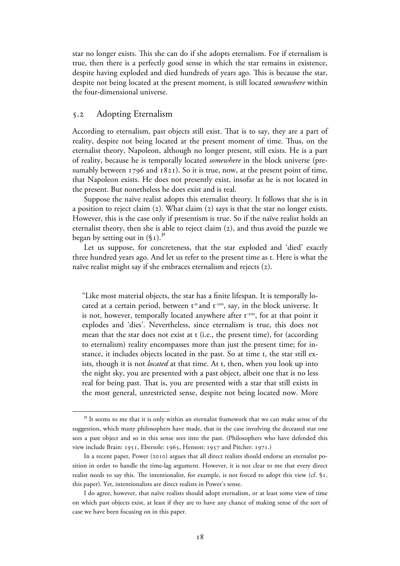star no longer exists. Tis she can do if she adopts eternalism. For if eternalism is true, then there is a perfectly good sense in which the star remains in existence, despite having exploded and died hundreds of years ago. This is because the star, despite not being located at the present moment, is still located *somewhere* within the four-dimensional universe.

#### . Adopting Eternalism

 $\overline{a}$ 

According to eternalism, past objects still exist. That is to say, they are a part of reality, despite not being located at the present moment of time. Thus, on the eternalist theory, Napoleon, although no longer present, still exists. He is a part of reality, because he is temporally located *somewhere* in the block universe (presumably between  $1796$  and  $1821$ ). So it is true, now, at the present point of time, that Napoleon exists. He does not presently exist, insofar as he is not located in the present. But nonetheless he does exist and is real.

 Suppose the naïve realist adopts this eternalist theory. It follows that she is in a position to reject claim  $(2)$ . What claim  $(2)$  says is that the star no longer exists. However, this is the case only if presentism is true. So if the naïve realist holds an eternalist theory, then she is able to reject claim  $(2)$ , and thus avoid the puzzle we began by setting out in  $(\S_1)^3$ 

 Let us suppose, for concreteness, that the star exploded and 'died' exactly three hundred years ago. And let us refer to the present time as t. Here is what the naïve realist might say if she embraces eternalism and rejects (2).

"Like most material objects, the star has a finite lifespan. It is temporally located at a certain period, between  $t<sup>n</sup>$  and  $t<sup>300</sup>$ , say, in the block universe. It is not, however, temporally located anywhere after  $t^{-300}$ , for at that point it explodes and 'dies'. Nevertheless, since eternalism is true, this does not mean that the star does not exist at t (i.e., the present time), for (according to eternalism) reality encompasses more than just the present time; for instance, it includes objects located in the past. So at time t, the star still exists, though it is not *located* at that time. At t, then, when you look up into the night sky, you are presented with a past object, albeit one that is no less real for being past. That is, you are presented with a star that still exists in the most general, unrestricted sense, despite not being located now. More

 $3<sup>1</sup>$  It seems to me that it is only within an eternalist framework that we can make sense of the suggestion, which many philosophers have made, that in the case involving the deceased star one sees a past object and so in this sense sees into the past. (Philosophers who have defended this view include Brain:  $1951$ , Ebersole:  $1965$ , Henson:  $1957$  and Pitcher:  $1971$ .)

In a recent paper, Power (2010) argues that all direct realists should endorse an eternalist position in order to handle the time-lag argument. However, it is not clear to me that every direct realist needs to say this. The intentionalist, for example, is not forced to adopt this view (cf.  $\S$ 1, this paper). Yet, intentionalists are direct realists in Power's sense.

I do agree, however, that naïve realists should adopt eternalism, or at least some view of time on which past objects exist, at least if they are to have any chance of making sense of the sort of case we have been focusing on in this paper.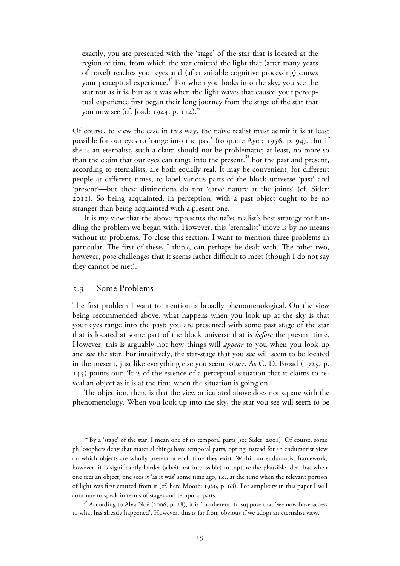exactly, you are presented with the 'stage' of the star that is located at the region of time from which the star emitted the light that (after many years of travel) reaches your eyes and (after suitable cognitive processing) causes your perceptual experience.<sup>32</sup> For when you looks into the sky, you see the star not as it is, but as it was when the light waves that caused your perceptual experience first began their long journey from the stage of the star that you now see (cf. Joad: 1943, p.  $114$ )."

Of course, to view the case in this way, the naïve realist must admit it is at least possible for our eyes to 'range into the past' (to quote Ayer: 1956, p. 94). But if she is an eternalist, such a claim should not be problematic; at least, no more so than the claim that our eyes can range into the present.<sup>33</sup> For the past and present, according to eternalists, are both equally real. It may be convenient, for different people at different times, to label various parts of the block universe 'past' and 'present'—but these distinctions do not 'carve nature at the joints' (cf. Sider: ). So being acquainted, in perception, with a past object ought to be no stranger than being acquainted with a present one.

 It is my view that the above represents the naïve realist's best strategy for handling the problem we began with. However, this 'eternalist' move is by no means without its problems. To close this section, I want to mention three problems in particular. The first of these, I think, can perhaps be dealt with. The other two, however, pose challenges that it seems rather difficult to meet (though I do not say they cannot be met).

#### . Some Problems

 $\overline{a}$ 

The first problem I want to mention is broadly phenomenological. On the view being recommended above, what happens when you look up at the sky is that your eyes range into the past: you are presented with some past stage of the star that is located at some part of the block universe that is *before* the present time. However, this is arguably not how things will *appear* to you when you look up and see the star. For intuitively, the star-stage that you see will seem to be located in the present, just like everything else you seem to see. As C. D. Broad  $(1925, p.$ ) points out: 'It is of the essence of a perceptual situation that it claims to reveal an object as it is at the time when the situation is going on'.

The objection, then, is that the view articulated above does not square with the phenomenology. When you look up into the sky, the star you see will seem to be

 $32$  By a 'stage' of the star, I mean one of its temporal parts (see Sider: 2001). Of course, some philosophers deny that material things have temporal parts, opting instead for an endurantist view on which objects are wholly present at each time they exist. Within an endurantist framework, however, it is significantly harder (albeit not impossible) to capture the plausible idea that when one sees an object, one sees it 'as it was' some time ago, i.e., at the time when the relevant portion of light was first emitted from it (cf. here Moore: 1966, p. 68). For simplicity in this paper I will continue to speak in terms of stages and temporal parts.

 $33$  According to Alva Noë (2006, p. 28), it is 'incoherent' to suppose that 'we now have access to what has already happened'. However, this is far from obvious if we adopt an eternalist view.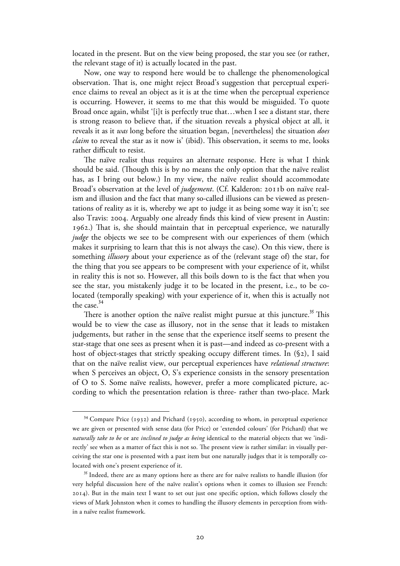located in the present. But on the view being proposed, the star you see (or rather, the relevant stage of it) is actually located in the past.

 Now, one way to respond here would be to challenge the phenomenological observation. Tat is, one might reject Broad's suggestion that perceptual experience claims to reveal an object as it is at the time when the perceptual experience is occurring. However, it seems to me that this would be misguided. To quote Broad once again, whilst '[i]t is perfectly true that…when I see a distant star, there is strong reason to believe that, if the situation reveals a physical object at all, it reveals it as it *was* long before the situation began, [nevertheless] the situation *does claim* to reveal the star as it now is' (ibid). This observation, it seems to me, looks rather difficult to resist.

The naïve realist thus requires an alternate response. Here is what I think should be said. (Though this is by no means the only option that the naïve realist has, as I bring out below.) In my view, the naïve realist should accommodate Broad's observation at the level of *judgement*. (Cf. Kalderon: 2011b on naïve realism and illusion and the fact that many so-called illusions can be viewed as presentations of reality as it is, whereby we apt to judge it as being some way it isn't; see also Travis: 2004. Arguably one already finds this kind of view present in Austin: 1962.) That is, she should maintain that in perceptual experience, we naturally *judge* the objects we see to be compresent with our experiences of them (which makes it surprising to learn that this is not always the case). On this view, there is something *illusory* about your experience as of the (relevant stage of) the star, for the thing that you see appears to be compresent with your experience of it, whilst in reality this is not so. However, all this boils down to is the fact that when you see the star, you mistakenly judge it to be located in the present, i.e., to be colocated (temporally speaking) with your experience of it, when this is actually not the case.<sup>34</sup>

There is another option the naïve realist might pursue at this juncture.<sup>35</sup> This would be to view the case as illusory, not in the sense that it leads to mistaken judgements, but rather in the sense that the experience itself seems to present the star-stage that one sees as present when it is past—and indeed as co-present with a host of object-stages that strictly speaking occupy different times. In  $(\$2)$ , I said that on the naïve realist view, our perceptual experiences have *relational structure*: when S perceives an object, O, S's experience consists in the sensory presentation of O to S. Some naïve realists, however, prefer a more complicated picture, according to which the presentation relation is three- rather than two-place. Mark

 $34$  Compare Price (1932) and Prichard (1950), according to whom, in perceptual experience we are given or presented with sense data (for Price) or 'extended colours' (for Prichard) that we *naturally take to be* or are *inclined to judge as being* identical to the material objects that we 'indirectly' see when as a matter of fact this is not so. The present view is rather similar: in visually perceiving the star one is presented with a past item but one naturally judges that it is temporally colocated with one's present experience of it.

<sup>&</sup>lt;sup>35</sup> Indeed, there are as many options here as there are for naïve realists to handle illusion (for very helpful discussion here of the naïve realist's options when it comes to illusion see French: ). But in the main text I want to set out just one specific option, which follows closely the views of Mark Johnston when it comes to handling the illusory elements in perception from within a naïve realist framework.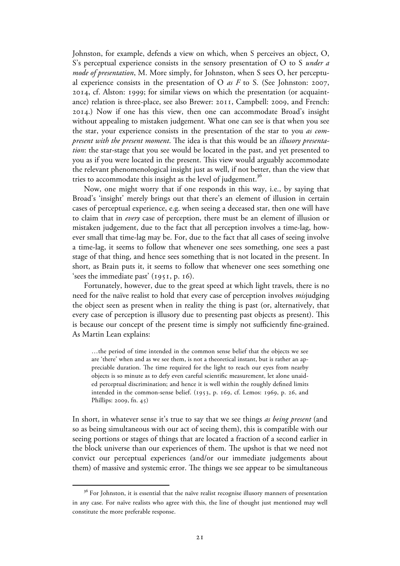Johnston, for example, defends a view on which, when S perceives an object, O, S's perceptual experience consists in the sensory presentation of O to S *under a mode of presentation*, M. More simply, for Johnston, when S sees O, her perceptual experience consists in the presentation of O  $a\bar{s}$  F to S. (See Johnston: 2007,  $2014$ , cf. Alston: 1999; for similar views on which the presentation (or acquaintance) relation is three-place, see also Brewer: 2011, Campbell: 2009, and French: .) Now if one has this view, then one can accommodate Broad's insight without appealing to mistaken judgement. What one can see is that when you see the star, your experience consists in the presentation of the star to you *as compresent with the present moment*. The idea is that this would be an *illusory presentation*: the star-stage that you see would be located in the past, and yet presented to you as if you were located in the present. Tis view would arguably accommodate the relevant phenomenological insight just as well, if not better, than the view that tries to accommodate this insight as the level of judgement.<sup>36</sup>

 Now, one might worry that if one responds in this way, i.e., by saying that Broad's 'insight' merely brings out that there's an element of illusion in certain cases of perceptual experience, e.g. when seeing a deceased star, then one will have to claim that in *every* case of perception, there must be an element of illusion or mistaken judgement, due to the fact that all perception involves a time-lag, however small that time-lag may be. For, due to the fact that all cases of seeing involve a time-lag, it seems to follow that whenever one sees something, one sees a past stage of that thing, and hence sees something that is not located in the present. In short, as Brain puts it, it seems to follow that whenever one sees something one 'sees the immediate past'  $(1951, p. 16)$ .

 Fortunately, however, due to the great speed at which light travels, there is no need for the naïve realist to hold that every case of perception involves *mis*judging the object seen as present when in reality the thing is past (or, alternatively, that every case of perception is illusory due to presenting past objects as present). This is because our concept of the present time is simply not sufficiently fine-grained. As Martin Lean explains:

…the period of time intended in the common sense belief that the objects we see are 'there' when and as we see them, is not a theoretical instant, but is rather an appreciable duration. The time required for the light to reach our eyes from nearby objects is so minute as to defy even careful scientific measurement, let alone unaided perceptual discrimination; and hence it is well within the roughly defined limits intended in the common-sense belief. (1953, p. 169, cf. Lemos: 1969, p. 26, and Phillips:  $2009$ , fn.  $45$ )

In short, in whatever sense it's true to say that we see things *as being present* (and so as being simultaneous with our act of seeing them), this is compatible with our seeing portions or stages of things that are located a fraction of a second earlier in the block universe than our experiences of them. The upshot is that we need not convict our perceptual experiences (and/or our immediate judgements about them) of massive and systemic error. The things we see appear to be simultaneous

<sup>&</sup>lt;sup>36</sup> For Johnston, it is essential that the naïve realist recognise illusory manners of presentation in any case. For naïve realists who agree with this, the line of thought just mentioned may well constitute the more preferable response.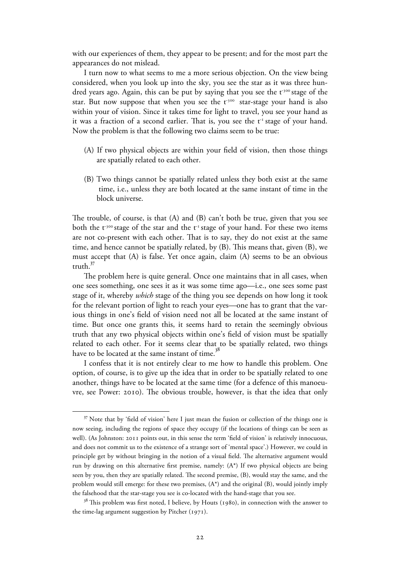with our experiences of them, they appear to be present; and for the most part the appearances do not mislead.

 I turn now to what seems to me a more serious objection. On the view being considered, when you look up into the sky, you see the star as it was three hundred years ago. Again, this can be put by saying that you see the  $t^{300}$  stage of the star. But now suppose that when you see the  $t^{300}$  star-stage your hand is also within your of vision. Since it takes time for light to travel, you see your hand as it was a fraction of a second earlier. That is, you see the  $t<sup>T</sup>$  stage of your hand. Now the problem is that the following two claims seem to be true:

- (A) If two physical objects are within your field of vision, then those things are spatially related to each other.
- (B) Two things cannot be spatially related unless they both exist at the same time, i.e., unless they are both located at the same instant of time in the block universe.

The trouble, of course, is that  $(A)$  and  $(B)$  can't both be true, given that you see both the  $t^{-300}$  stage of the star and the  $t^{-1}$  stage of your hand. For these two items are not co-present with each other. That is to say, they do not exist at the same time, and hence cannot be spatially related, by  $(B)$ . This means that, given  $(B)$ , we must accept that (A) is false. Yet once again, claim (A) seems to be an obvious  $truth<sup>37</sup>$ 

The problem here is quite general. Once one maintains that in all cases, when one sees something, one sees it as it was some time ago—i.e., one sees some past stage of it, whereby *which* stage of the thing you see depends on how long it took for the relevant portion of light to reach your eyes—one has to grant that the various things in one's field of vision need not all be located at the same instant of time. But once one grants this, it seems hard to retain the seemingly obvious truth that any two physical objects within one's field of vision must be spatially related to each other. For it seems clear that to be spatially related, two things have to be located at the same instant of time.<sup>38</sup>

 I confess that it is not entirely clear to me how to handle this problem. One option, of course, is to give up the idea that in order to be spatially related to one another, things have to be located at the same time (for a defence of this manoeuvre, see Power: 2010). The obvious trouble, however, is that the idea that only

<sup>&</sup>lt;sup>37</sup> Note that by 'field of vision' here I just mean the fusion or collection of the things one is now seeing, including the regions of space they occupy (if the locations of things can be seen as well). (As Johnston: 2011 points out, in this sense the term 'field of vision' is relatively innocuous, and does not commit us to the existence of a strange sort of 'mental space'.) However, we could in principle get by without bringing in the notion of a visual field. The alternative argument would run by drawing on this alternative first premise, namely: (A\*) If two physical objects are being seen by you, then they are spatially related. The second premise, (B), would stay the same, and the problem would still emerge: for these two premises, (A\*) and the original (B), would jointly imply the falsehood that the star-stage you see is co-located with the hand-stage that you see.

 $38$  This problem was first noted, I believe, by Houts (1980), in connection with the answer to the time-lag argument suggestion by Pitcher  $(1971)$ .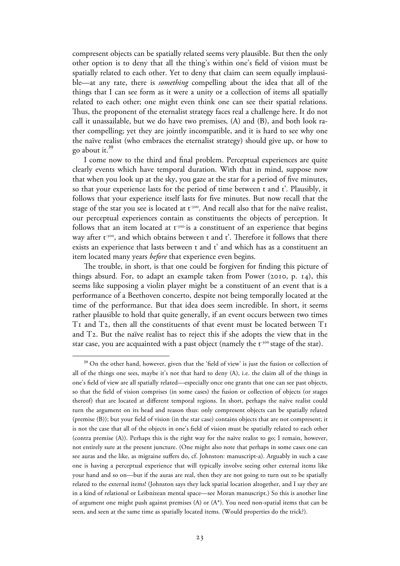compresent objects can be spatially related seems very plausible. But then the only other option is to deny that all the thing's within one's field of vision must be spatially related to each other. Yet to deny that claim can seem equally implausible—at any rate, there is *something* compelling about the idea that all of the things that I can see form as it were a unity or a collection of items all spatially related to each other; one might even think one can see their spatial relations. Thus, the proponent of the eternalist strategy faces real a challenge here. It do not call it unassailable, but we do have two premises, (A) and (B), and both look rather compelling; yet they are jointly incompatible, and it is hard to see why one the naïve realist (who embraces the eternalist strategy) should give up, or how to go about it. $39$ 

 I come now to the third and final problem. Perceptual experiences are quite clearly events which have temporal duration. With that in mind, suppose now that when you look up at the sky, you gaze at the star for a period of five minutes, so that your experience lasts for the period of time between t and t'*.* Plausibly, it follows that your experience itself lasts for five minutes. But now recall that the stage of the star you see is located at  $t^{-300}$ . And recall also that for the naïve realist, our perceptual experiences contain as constituents the objects of perception. It follows that an item located at  $t^{-300}$  is a constituent of an experience that begins way after  $t^{-300}$ , and which obtains between t and t'. Therefore it follows that there exists an experience that lasts between t and  $t'$  and which has as a constituent an item located many years *before* that experience even begins.

The trouble, in short, is that one could be forgiven for finding this picture of things absurd. For, to adapt an example taken from Power (2010, p.  $14$ ), this seems like supposing a violin player might be a constituent of an event that is a performance of a Beethoven concerto, despite not being temporally located at the time of the performance. But that idea does seem incredible. In short, it seems rather plausible to hold that quite generally, if an event occurs between two times  $T<sub>I</sub>$  and  $T<sub>2</sub>$ , then all the constituents of that event must be located between  $T<sub>I</sub>$ and T2. But the naïve realist has to reject this if she adopts the view that in the star case, you are acquainted with a past object (namely the  $t<sup>300</sup>$  stage of the star).

<sup>&</sup>lt;sup>39</sup> On the other hand, however, given that the 'field of view' is just the fusion or collection of all of the things one sees, maybe it's not that hard to deny (A), i.e. the claim all of the things in one's field of view are all spatially related—especially once one grants that one can see past objects, so that the field of vision comprises (in some cases) the fusion or collection of objects (or stages thereof) that are located at different temporal regions. In short, perhaps the naïve realist could turn the argument on its head and reason thus: only compresent objects can be spatially related (premise (B)); but your field of vision (in the star case) contains objects that are not compresent; it is not the case that all of the objects in one's field of vision must be spatially related to each other (contra premise (A)). Perhaps this is the right way for the naïve realist to go; I remain, however, not entirely sure at the present juncture. (One might also note that perhaps in some cases one can see auras and the like, as migraine suffers do, cf. Johnston: manuscript-a). Arguably in such a case one is having a perceptual experience that will typically involve seeing other external items like your hand and so on—but if the auras are real, then they are not going to turn out to be spatially related to the external items! (Johnston says they lack spatial location altogether, and I say they are in a kind of relational or Leibnizean mental space—see Moran manuscript.) So this is another line of argument one might push against premises (A) or (A\*). You need non-spatial items that can be seen, and seen at the same time as spatially located items. (Would properties do the trick?).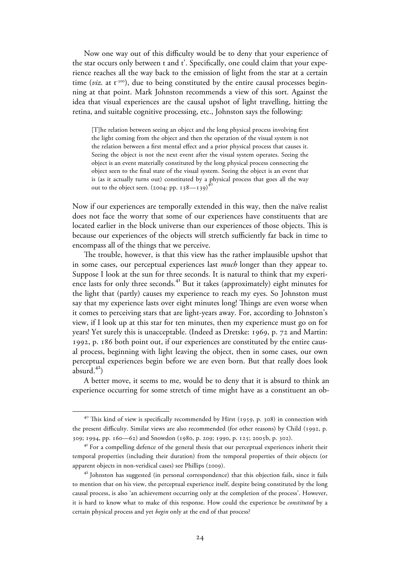Now one way out of this difficulty would be to deny that your experience of the star occurs only between t and t'. Specifically, one could claim that your experience reaches all the way back to the emission of light from the star at a certain time ( $viz$ . at  $t^{-300}$ ), due to being constituted by the entire causal processes beginning at that point. Mark Johnston recommends a view of this sort. Against the idea that visual experiences are the causal upshot of light travelling, hitting the retina, and suitable cognitive processing, etc., Johnston says the following:

[T]he relation between seeing an object and the long physical process involving first the light coming from the object and then the operation of the visual system is not the relation between a first mental effect and a prior physical process that causes it. Seeing the object is not the next event after the visual system operates. Seeing the object is an event materially constituted by the long physical process connecting the object seen to the final state of the visual system. Seeing the object is an event that is (as it actually turns out) constituted by a physical process that goes all the way out to the object seen. (2004: pp. 138—139)<sup>40</sup>

Now if our experiences are temporally extended in this way, then the naïve realist does not face the worry that some of our experiences have constituents that are located earlier in the block universe than our experiences of those objects. This is because our experiences of the objects will stretch sufficiently far back in time to encompass all of the things that we perceive.

The trouble, however, is that this view has the rather implausible upshot that in some cases, our perceptual experiences last *much* longer than they appear to. Suppose I look at the sun for three seconds. It is natural to think that my experience lasts for only three seconds.<sup>41</sup> But it takes (approximately) eight minutes for the light that (partly) causes my experience to reach my eyes. So Johnston must say that my experience lasts over eight minutes long! Things are even worse when it comes to perceiving stars that are light-years away. For, according to Johnston's view, if I look up at this star for ten minutes, then my experience must go on for years! Yet surely this is unacceptable. (Indeed as Dretske: 1969, p. 72 and Martin:  $1992$ , p.  $186$  both point out, if our experiences are constituted by the entire causal process, beginning with light leaving the object, then in some cases, our own perceptual experiences begin before we are even born. But that really does look absurd. $42$ 

 A better move, it seems to me, would be to deny that it is absurd to think an experience occurring for some stretch of time might have as a constituent an ob-

<sup>&</sup>lt;sup>40</sup> This kind of view is specifically recommended by Hirst (1959, p. 308) in connection with the present difficulty. Similar views are also recommended (for other reasons) by Child (1992, p. 309; 1994, pp. 160-62) and Snowdon (1980, p. 209; 1990, p. 125; 2005b, p. 302).

<sup>&</sup>lt;sup>41</sup> For a compelling defence of the general thesis that our perceptual experiences inherit their temporal properties (including their duration) from the temporal properties of their objects (or apparent objects in non-veridical cases) see Phillips (2009).

 $42$  Johnston has suggested (in personal correspondence) that this objection fails, since it fails to mention that on his view, the perceptual experience itself, despite being constituted by the long causal process, is also 'an achievement occurring only at the completion of the process'. However, it is hard to know what to make of this response. How could the experience be *constituted* by a certain physical process and yet *begin* only at the end of that process?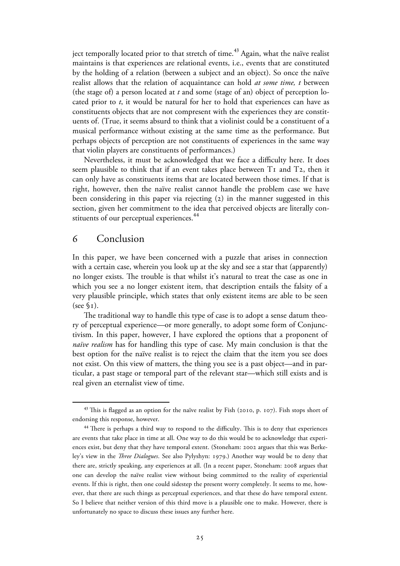ject temporally located prior to that stretch of time.<sup>43</sup> Again, what the naïve realist maintains is that experiences are relational events, i.e., events that are constituted by the holding of a relation (between a subject and an object). So once the naïve realist allows that the relation of acquaintance can hold *at some time, t* between (the stage of) a person located at *t* and some (stage of an) object of perception located prior to *t*, it would be natural for her to hold that experiences can have as constituents objects that are not compresent with the experiences they are constituents of. (True, it seems absurd to think that a violinist could be a constituent of a musical performance without existing at the same time as the performance. But perhaps objects of perception are not constituents of experiences in the same way that violin players are constituents of performances.)

 Nevertheless, it must be acknowledged that we face a difficulty here. It does seem plausible to think that if an event takes place between T1 and T2, then it can only have as constituents items that are located between those times. If that is right, however, then the naïve realist cannot handle the problem case we have been considering in this paper via rejecting  $(2)$  in the manner suggested in this section, given her commitment to the idea that perceived objects are literally constituents of our perceptual experiences.<sup>44</sup>

### Conclusion

 $\overline{a}$ 

In this paper, we have been concerned with a puzzle that arises in connection with a certain case, wherein you look up at the sky and see a star that (apparently) no longer exists. The trouble is that whilst it's natural to treat the case as one in which you see a no longer existent item, that description entails the falsity of a very plausible principle, which states that only existent items are able to be seen (see  $\S_1$ ).

The traditional way to handle this type of case is to adopt a sense datum theory of perceptual experience—or more generally, to adopt some form of Conjunctivism. In this paper, however, I have explored the options that a proponent of *naïve realism* has for handling this type of case. My main conclusion is that the best option for the naïve realist is to reject the claim that the item you see does not exist. On this view of matters, the thing you see is a past object—and in particular, a past stage or temporal part of the relevant star—which still exists and is real given an eternalist view of time.

 $43$  This is flagged as an option for the naïve realist by Fish (2010, p. 107). Fish stops short of endorsing this response, however.

<sup>&</sup>lt;sup>44</sup> There is perhaps a third way to respond to the difficulty. This is to deny that experiences are events that take place in time at all. One way to do this would be to acknowledge that experiences exist, but deny that they have temporal extent. (Stoneham: 2002 argues that this was Berkeley's view in the *Three Dialogues*. See also Pylyshyn: 1979.) Another way would be to deny that there are, strictly speaking, any experiences at all. (In a recent paper, Stoneham: 2008 argues that one can develop the naïve realist view without being committed to the reality of experiential events. If this is right, then one could sidestep the present worry completely. It seems to me, however, that there are such things as perceptual experiences, and that these do have temporal extent. So I believe that neither version of this third move is a plausible one to make. However, there is unfortunately no space to discuss these issues any further here.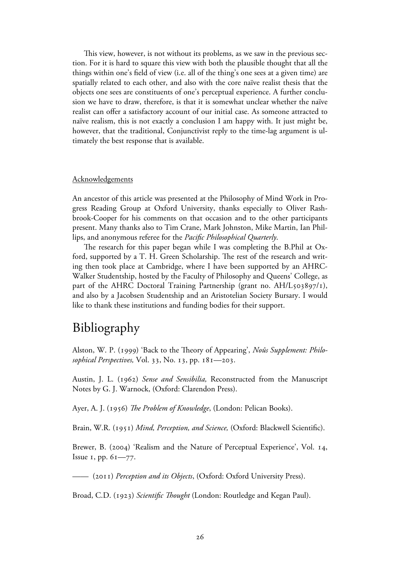This view, however, is not without its problems, as we saw in the previous section. For it is hard to square this view with both the plausible thought that all the things within one's field of view (i.e. all of the thing's one sees at a given time) are spatially related to each other, and also with the core naïve realist thesis that the objects one sees are constituents of one's perceptual experience. A further conclusion we have to draw, therefore, is that it is somewhat unclear whether the naïve realist can offer a satisfactory account of our initial case. As someone attracted to naïve realism, this is not exactly a conclusion I am happy with. It just might be, however, that the traditional, Conjunctivist reply to the time-lag argument is ultimately the best response that is available.

#### Acknowledgements

An ancestor of this article was presented at the Philosophy of Mind Work in Progress Reading Group at Oxford University, thanks especially to Oliver Rashbrook-Cooper for his comments on that occasion and to the other participants present. Many thanks also to Tim Crane, Mark Johnston, Mike Martin, Ian Phillips, and anonymous referee for the *Pacific Philosophical Quarterly*.

The research for this paper began while I was completing the B.Phil at  $Ox$ ford, supported by a T. H. Green Scholarship. The rest of the research and writing then took place at Cambridge, where I have been supported by an AHRC-Walker Studentship, hosted by the Faculty of Philosophy and Queens' College, as part of the AHRC Doctoral Training Partnership (grant no.  $AH/L503897/1$ ), and also by a Jacobsen Studentship and an Aristotelian Society Bursary. I would like to thank these institutions and funding bodies for their support.

## Bibliography

Alston, W. P. (1999) 'Back to the Theory of Appearing', *Noûs Supplement: Philosophical Perspectives, Vol. 33, No. 13, pp. 181-203.* 

Austin, J. L. (1962) Sense and Sensibilia, Reconstructed from the Manuscript Notes by G. J. Warnock, (Oxford: Clarendon Press).

Ayer, A. J. (1956) *The Problem of Knowledge*, (London: Pelican Books).

Brain, W.R. (1951) *Mind, Perception, and Science,* (Oxford: Blackwell Scientific).

Brewer, B. (2004) 'Realism and the Nature of Perceptual Experience', Vol. 14, Issue 1, pp.  $61 - 77$ .

—— () *Perception and its Objects*, (Oxford: Oxford University Press).

Broad, C.D. (1923) Scientific *Thought* (London: Routledge and Kegan Paul).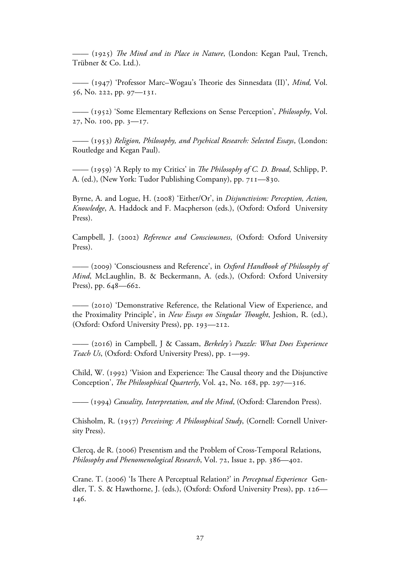—— (1925) *The Mind and its Place in Nature*, (London: Kegan Paul, Trench, Trübner & Co. Ltd.).

—— (1947) 'Professor Marc–Wogau's Theorie des Sinnesdata (II)', *Mind*, Vol.  $56$ , No. 222, pp. 97—131.

—— () 'Some Elementary Reflexions on Sense Perception', *Philosophy*, Vol.  $27, No.$  100, pp.  $3 \rightarrow 17$ .

—— () *Religion, Philosophy, and Psychical Research: Selected Essays*, (London: Routledge and Kegan Paul).

—— () 'A Reply to my Critics' in *Te Philosophy of C. D. Broad*, Schlipp, P. A. (ed.), (New York: Tudor Publishing Company), pp. 711-830.

Byrne, A. and Logue, H. (2008) 'Either/Or', in *Disjunctivism: Perception, Action, Knowledge*, A. Haddock and F. Macpherson (eds.), (Oxford: Oxford University Press).

Campbell, J. (2002) *Reference and Consciousness*, (Oxford: Oxford University Press).

—— () 'Consciousness and Reference', in *Oxford Handbook of Philosophy of Mind*, McLaughlin, B. & Beckermann, A. (eds.), (Oxford: Oxford University Press), pp.  $648 - 662$ .

—— () 'Demonstrative Reference, the Relational View of Experience, and the Proximality Principle', in *New Essays on Singular Tought*, Jeshion, R. (ed.), (Oxford: Oxford University Press), pp.  $193 - 212$ .

—— () in Campbell, J & Cassam, *Berkeley's Puzzle: What Does Experience*  Teach Us, (Oxford: Oxford University Press), pp. 1-99.

Child, W. (1992) 'Vision and Experience: The Causal theory and the Disjunctive Conception', *The Philosophical Quarterly*, Vol. 42, No. 168, pp. 297-316.

—— () *Causality, Interpretation, and the Mind*, (Oxford: Clarendon Press).

Chisholm, R. (1957) Perceiving: A Philosophical Study, (Cornell: Cornell University Press).

Clercq, de R. (2006) Presentism and the Problem of Cross-Temporal Relations, *Philosophy and Phenomenological Research*, Vol. 72, Issue 2, pp. 386–402.

Crane. T. (2006) 'Is There A Perceptual Relation?' in *Perceptual Experience* Gendler, T. S. & Hawthorne, J. (eds.), (Oxford: Oxford University Press), pp. 126-146.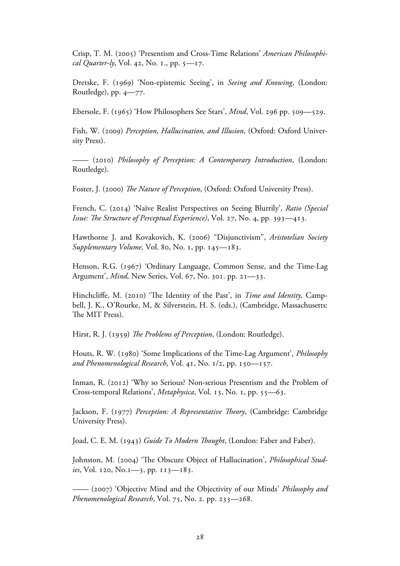Crisp, T. M. (2005) 'Presentism and Cross-Time Relations' *American Philosophical Quarter-ly*, Vol. 42, No. 1., pp.  $5$ —17.

Dretske, F. (1969) 'Non-epistemic Seeing', in *Seeing and Knowing*, (London: Routledge), pp.  $4—77$ .

Ebersole, F. (1965) 'How Philosophers See Stars', *Mind*, Vol. 296 pp. 509—529.

Fish, W. (2009) *Perception, Hallucination, and Illusion*, (Oxford: Oxford University Press).

—— () *Philosophy of Perception: A Contemporary Introduction*, (London: Routledge).

Foster, J. (2000) *The Nature of Perception*, (Oxford: Oxford University Press).

French, C. (2014) 'Naïve Realist Perspectives on Seeing Blurrily', *Ratio (Special Issue: The Structure of Perceptual Experience)*, Vol. 27, No. 4, pp. 393—413.

Hawthorne J. and Kovakovich, K. (2006) "Disjunctivism", *Aristotelian Society Supplementary Volume, Vol. 80, No. 1, pp. 145*—183.

Henson, R.G. (1967) 'Ordinary Language, Common Sense, and the Time-Lag Argument', *Mind*, New Series, Vol. 67, No. 301. pp. 21-33.

Hinchcliffe, M. (2010) 'The Identity of the Past', in *Time and Identity*, Campbell, J. K., O'Rourke, M, & Silverstein, H. S. (eds.), (Cambridge, Massachusetts: The MIT Press).

Hirst, R. J. (1959) The Problems of Perception, (London: Routledge).

Houts, R. W. (1980) 'Some Implications of the Time-Lag Argument', *Philosophy and Phenomenological Research*, Vol. 41, No. 1/2, pp. 150-157.

Inman, R. (2012) 'Why so Serious? Non-serious Presentism and the Problem of Cross-temporal Relations', *Metaphysica*, Vol. 13, No. 1, pp. 55-63.

Jackson, F. (1977) Perception: A Representative *Theory*, (Cambridge: Cambridge University Press).

Joad, C. E. M. (1943) *Guide To Modern Thought*, (London: Faber and Faber).

Johnston, M. (2004) 'The Obscure Object of Hallucination', *Philosophical Studies*, Vol. 120, No.1-3, pp. 113-183.

—— () 'Objective Mind and the Objectivity of our Minds' *Philosophy and Phenomenological Research*, Vol. 75, No. 2. pp. 233-268.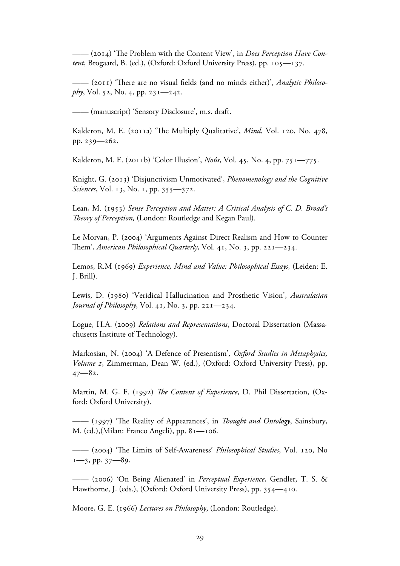(2014) 'The Problem with the Content View', in *Does Perception Have Content*, Brogaard, B. (ed.), (Oxford: Oxford University Press), pp. 105-137.

 $-$  (2011) 'There are no visual fields (and no minds either)', *Analytic Philoso* $phy$ , Vol. 52, No. 4, pp. 231—242.

—— (manuscript) 'Sensory Disclosure', m.s. draft.

Kalderon, M. E. (2011a) 'The Multiply Qualitative', *Mind*, Vol. 120, No. 478, pp. 239-262.

Kalderon, M. E. (2011b) 'Color Illusion', *Noûs*, Vol. 45, No. 4, pp. 751—775.

Knight, G. (2013) 'Disjunctivism Unmotivated', *Phenomenology and the Cognitive Sciences*, Vol. 13, No. 1, pp. 355-372.

Lean, M. (1953) Sense Perception and Matter: A Critical Analysis of C. D. Broad's *Teory of Perception,* (London: Routledge and Kegan Paul).

Le Morvan, P. (2004) 'Arguments Against Direct Realism and How to Counter Them', *American Philosophical Quarterly*, Vol. 41, No. 3, pp. 221-234.

Lemos, R.M (1969) *Experience, Mind and Value: Philosophical Essays*, (Leiden: E. J. Brill).

Lewis, D. (1980) 'Veridical Hallucination and Prosthetic Vision', *Australasian Journal of Philosophy*, Vol.  $4I$ , No. 3, pp.  $22I - 234$ .

Logue, H.A. (2009) *Relations and Representations*, Doctoral Dissertation (Massachusetts Institute of Technology).

Markosian, N. (2004) 'A Defence of Presentism', Oxford Studies in Metaphysics, *Volume 1*, Zimmerman, Dean W. (ed.), (Oxford: Oxford University Press), pp.  $47 - 82.$ 

Martin, M. G. F. (1992) *The Content of Experience*, D. Phil Dissertation, (Oxford: Oxford University).

— (1997) 'The Reality of Appearances', in *Thought and Ontology*, Sainsbury, M. (ed.), (Milan: Franco Angeli), pp.  $81$ — $106$ .

(2004) 'The Limits of Self-Awareness' *Philosophical Studies*, Vol. 120, No  $1 - 3$ , pp.  $37 - 89$ .

—— () 'On Being Alienated' in *Perceptual Experience*, Gendler, T. S. & Hawthorne, J. (eds.), (Oxford: Oxford University Press), pp. 354-410.

Moore, G. E. (1966) *Lectures on Philosophy*, (London: Routledge).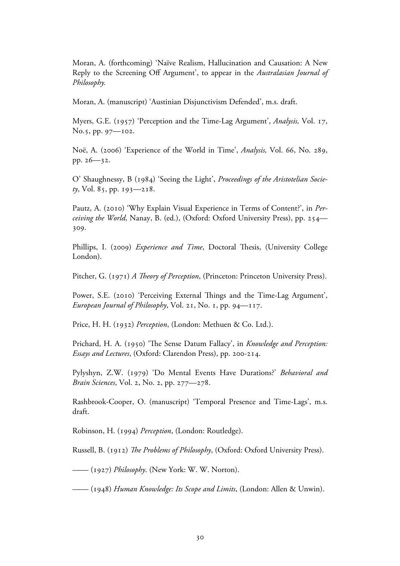Moran, A. (forthcoming) 'Naïve Realism, Hallucination and Causation: A New Reply to the Screening Off Argument', to appear in the *Australasian Journal of Philosophy.*

Moran, A. (manuscript) 'Austinian Disjunctivism Defended', m.s. draft.

Myers, G.E. (1957) 'Perception and the Time-Lag Argument', *Analysis*, Vol. 17,  $No.5, pp. 97 - 102.$ 

Noë, A. (2006) 'Experience of the World in Time', *Analysis*, Vol. 66, No. 289, pp.  $26 - 32$ .

O' Shaughnessy, B (1984) 'Seeing the Light', *Proceedings of the Aristotelian Socie* $t\gamma$ , Vol. 85, pp. 193—218.

Pautz, A. (2010) 'Why Explain Visual Experience in Terms of Content?', in *Perceiving the World*, Nanay, B. (ed.), (Oxford: Oxford University Press), pp. 254— 309.

Phillips, I. (2009) *Experience and Time*, Doctoral Thesis, (University College London).

Pitcher, G. (1971) *A Theory of Perception*, (Princeton: Princeton University Press).

Power, S.E. (2010) 'Perceiving External Things and the Time-Lag Argument', *European Journal of Philosophy*, Vol. 21, No. 1, pp.  $94$ —117.

Price, H. H. (1932) *Perception*, (London: Methuen & Co. Ltd.).

Prichard, H. A. (1950) 'The Sense Datum Fallacy', in *Knowledge and Perception: Essays and Lectures*, (Oxford: Clarendon Press), pp. 200-214.

Pylyshyn, Z.W. (1979) 'Do Mental Events Have Durations?' *Behavioral and Brain Sciences*, Vol. 2, No. 2, pp. 277-278.

Rashbrook-Cooper, O. (manuscript) 'Temporal Presence and Time-Lags', m.s. draft.

Robinson, H. (1994) *Perception*, (London: Routledge).

Russell, B. (1912) *The Problems of Philosophy*, (Oxford: Oxford University Press).

—— (1927) *Philosophy*. (New York: W. W. Norton).

—— () *Human Knowledge: Its Scope and Limits*, (London: Allen & Unwin).